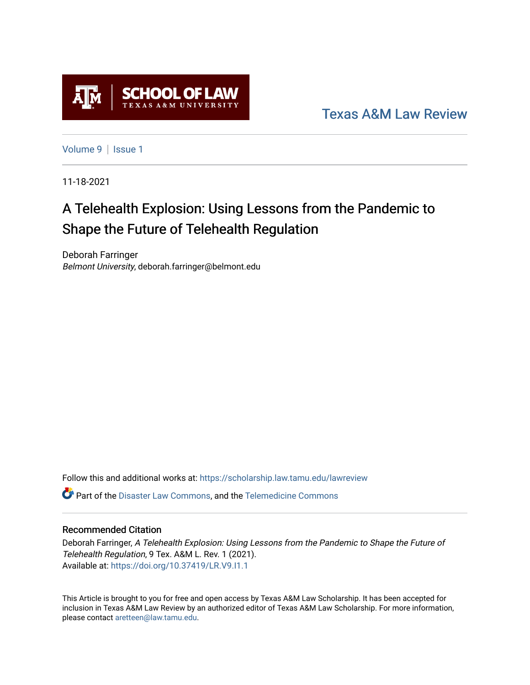

[Texas A&M Law Review](https://scholarship.law.tamu.edu/lawreview) 

[Volume 9](https://scholarship.law.tamu.edu/lawreview/vol9) | Issue 1

11-18-2021

# A Telehealth Explosion: Using Lessons from the Pandemic to Shape the Future of Telehealth Regulation

Deborah Farringer Belmont University, deborah.farringer@belmont.edu

Follow this and additional works at: [https://scholarship.law.tamu.edu/lawreview](https://scholarship.law.tamu.edu/lawreview?utm_source=scholarship.law.tamu.edu%2Flawreview%2Fvol9%2Fiss1%2F4&utm_medium=PDF&utm_campaign=PDFCoverPages)

**P** Part of the [Disaster Law Commons](http://network.bepress.com/hgg/discipline/1348?utm_source=scholarship.law.tamu.edu%2Flawreview%2Fvol9%2Fiss1%2F4&utm_medium=PDF&utm_campaign=PDFCoverPages), and the Telemedicine Commons

# Recommended Citation

Deborah Farringer, A Telehealth Explosion: Using Lessons from the Pandemic to Shape the Future of Telehealth Regulation, 9 Tex. A&M L. Rev. 1 (2021). Available at:<https://doi.org/10.37419/LR.V9.I1.1>

This Article is brought to you for free and open access by Texas A&M Law Scholarship. It has been accepted for inclusion in Texas A&M Law Review by an authorized editor of Texas A&M Law Scholarship. For more information, please contact [aretteen@law.tamu.edu.](mailto:aretteen@law.tamu.edu)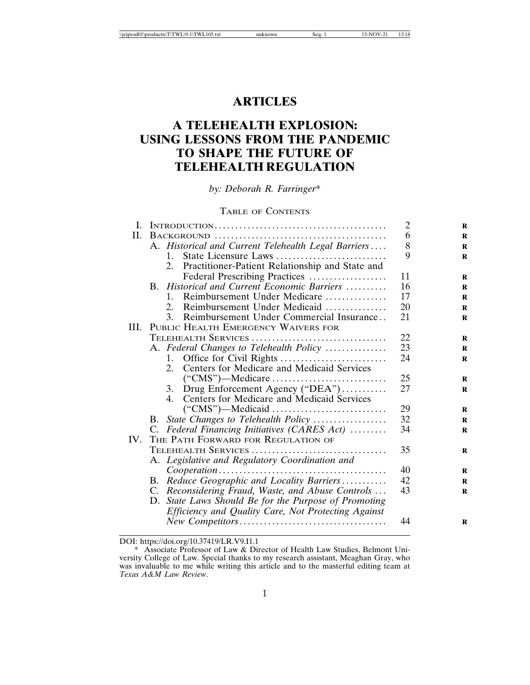# **ARTICLES**

# **A TELEHEALTH EXPLOSION: USING LESSONS FROM THE PANDEMIC TO SHAPE THE FUTURE OF TELEHEALTH REGULATION**

*by: Deborah R. Farringer*\*

# TABLE OF CONTENTS

| L.   |                                                       | $\overline{c}$ |
|------|-------------------------------------------------------|----------------|
| П.   |                                                       | 6              |
|      | A. Historical and Current Telehealth Legal Barriers   | 8              |
|      | State Licensure Laws<br>$1_{-}$                       | 9              |
|      | Practitioner-Patient Relationship and State and<br>2. |                |
|      | Federal Prescribing Practices                         | 11             |
|      | Historical and Current Economic Barriers<br>B.        | 16             |
|      | Reimbursement Under Medicare<br>1.                    | 17             |
|      | Reimbursement Under Medicaid<br>2.                    | 20             |
|      | 3. Reimbursement Under Commercial Insurance           | 21             |
| III. | PUBLIC HEALTH EMERGENCY WAIVERS FOR                   |                |
|      | TELEHEALTH SERVICES                                   | 22             |
|      | A. Federal Changes to Telehealth Policy               | 23             |
|      | 1.                                                    | 24             |
|      | Centers for Medicare and Medicaid Services<br>$2^{+}$ |                |
|      |                                                       | 25             |
|      | Drug Enforcement Agency ("DEA")<br>3.                 | 27             |
|      | Centers for Medicare and Medicaid Services<br>4.      |                |
|      |                                                       | 29             |
|      | B. State Changes to Telehealth Policy                 | 32             |
|      | C. Federal Financing Initiatives (CARES Act)          | 34             |
| IV.  | THE PATH FORWARD FOR REGULATION OF                    |                |
|      | TELEHEALTH SERVICES                                   | 35             |
|      | A. Legislative and Regulatory Coordination and        |                |
|      |                                                       | 40             |
|      | B. Reduce Geographic and Locality Barriers            | 42             |
|      | C. Reconsidering Fraud, Waste, and Abuse Controls     | 43             |
|      | D. State Laws Should Be for the Purpose of Promoting  |                |
|      | Efficiency and Quality Care, Not Protecting Against   |                |
|      |                                                       | 44             |
|      |                                                       |                |

DOI: https://doi.org/10.37419/LR.V9.I1.1

<sup>\*</sup> Associate Professor of Law & Director of Health Law Studies, Belmont University College of Law. Special thanks to my research assistant, Meaghan Gray, who was invaluable to me while writing this article and to the masterful editing team at *Texas A&M Law Review*.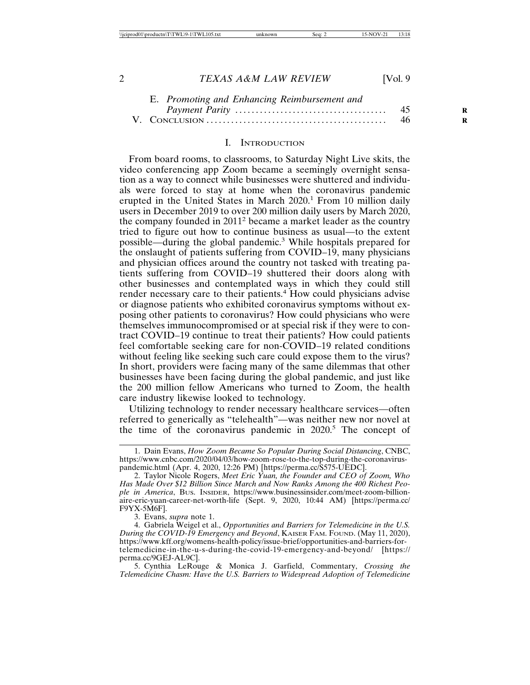| E. Promoting and Enhancing Reimbursement and |  |
|----------------------------------------------|--|
|                                              |  |
|                                              |  |

#### I. INTRODUCTION

From board rooms, to classrooms, to Saturday Night Live skits, the video conferencing app Zoom became a seemingly overnight sensation as a way to connect while businesses were shuttered and individuals were forced to stay at home when the coronavirus pandemic erupted in the United States in March 2020.<sup>1</sup> From 10 million daily users in December 2019 to over 200 million daily users by March 2020, the company founded in 20112 became a market leader as the country tried to figure out how to continue business as usual—to the extent possible—during the global pandemic.<sup>3</sup> While hospitals prepared for the onslaught of patients suffering from COVID–19, many physicians and physician offices around the country not tasked with treating patients suffering from COVID–19 shuttered their doors along with other businesses and contemplated ways in which they could still render necessary care to their patients.<sup>4</sup> How could physicians advise or diagnose patients who exhibited coronavirus symptoms without exposing other patients to coronavirus? How could physicians who were themselves immunocompromised or at special risk if they were to contract COVID–19 continue to treat their patients? How could patients feel comfortable seeking care for non-COVID–19 related conditions without feeling like seeking such care could expose them to the virus? In short, providers were facing many of the same dilemmas that other businesses have been facing during the global pandemic, and just like the 200 million fellow Americans who turned to Zoom, the health care industry likewise looked to technology.

Utilizing technology to render necessary healthcare services—often referred to generically as "telehealth"—was neither new nor novel at the time of the coronavirus pandemic in 2020.<sup>5</sup> The concept of

3. Evans, *supra* note 1.

5. Cynthia LeRouge & Monica J. Garfield, Commentary, *Crossing the Telemedicine Chasm: Have the U.S. Barriers to Widespread Adoption of Telemedicine*

<sup>1.</sup> Dain Evans, *How Zoom Became So Popular During Social Distancing*, CNBC, https://www.cnbc.com/2020/04/03/how-zoom-rose-to-the-top-during-the-coronaviruspandemic.html (Apr. 4, 2020, 12:26 PM) [https://perma.cc/S575-UEDC].

<sup>2.</sup> Taylor Nicole Rogers, *Meet Eric Yuan, the Founder and CEO of Zoom, Who Has Made Over \$12 Billion Since March and Now Ranks Among the 400 Richest People in America*, BUS. INSIDER, https://www.businessinsider.com/meet-zoom-billionaire-eric-yuan-career-net-worth-life (Sept. 9, 2020, 10:44 AM) [https://perma.cc/ F9YX-5M6F].

<sup>4.</sup> Gabriela Weigel et al., *Opportunities and Barriers for Telemedicine in the U.S. During the COVID-19 Emergency and Beyond*, KAISER FAM. FOUND. (May 11, 2020), https://www.kff.org/womens-health-policy/issue-brief/opportunities-and-barriers-fortelemedicine-in-the-u-s-during-the-covid-19-emergency-and-beyond/ [https:// perma.cc/9GEJ-AL9C].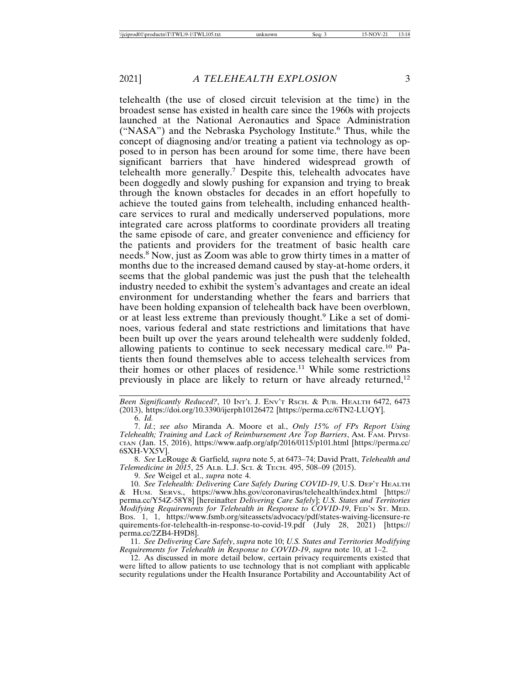telehealth (the use of closed circuit television at the time) in the broadest sense has existed in health care since the 1960s with projects launched at the National Aeronautics and Space Administration ("NASA") and the Nebraska Psychology Institute.<sup>6</sup> Thus, while the concept of diagnosing and/or treating a patient via technology as opposed to in person has been around for some time, there have been significant barriers that have hindered widespread growth of telehealth more generally.<sup>7</sup> Despite this, telehealth advocates have been doggedly and slowly pushing for expansion and trying to break through the known obstacles for decades in an effort hopefully to achieve the touted gains from telehealth, including enhanced healthcare services to rural and medically underserved populations, more integrated care across platforms to coordinate providers all treating the same episode of care, and greater convenience and efficiency for the patients and providers for the treatment of basic health care needs.8 Now, just as Zoom was able to grow thirty times in a matter of months due to the increased demand caused by stay-at-home orders, it seems that the global pandemic was just the push that the telehealth industry needed to exhibit the system's advantages and create an ideal environment for understanding whether the fears and barriers that have been holding expansion of telehealth back have been overblown, or at least less extreme than previously thought.<sup>9</sup> Like a set of dominoes, various federal and state restrictions and limitations that have been built up over the years around telehealth were suddenly folded, allowing patients to continue to seek necessary medical care.10 Patients then found themselves able to access telehealth services from their homes or other places of residence.<sup>11</sup> While some restrictions previously in place are likely to return or have already returned,<sup>12</sup>

*Been Significantly Reduced?*, 10 INT'L J. ENV'T RSCH. & PUB. HEALTH 6472, 6473 (2013), https://doi.org/10.3390/ijerph10126472 [https://perma.cc/6TN2-LUQY].

8. *See* LeRouge & Garfield*, supra* note 5, at 6473–74; David Pratt, *Telehealth and Telemedicine in 2015*, 25 ALB. L.J. SCI. & TECH. 495, 508–09 (2015).

9. *See* Weigel et al., *supra* note 4.

10. *See Telehealth: Delivering Care Safely During COVID-19*, U.S. DEP'T HEALTH & HUM. SERVS., https://www.hhs.gov/coronavirus/telehealth/index.html [https:// perma.cc/Y54Z-58Y8] [hereinafter *Delivering Care Safely*]; *U.S. States and Territories Modifying Requirements for Telehealth in Response to COVID-19*, FED'N ST. MED. BDS. 1, 1, https://www.fsmb.org/siteassets/advocacy/pdf/states-waiving-licensure-re quirements-for-telehealth-in-response-to-covid-19.pdf (July 28, 2021) [https:// perma.cc/2ZB4-H9D8].

11. *See Delivering Care Safely*, *supra* note 10; *U.S. States and Territories Modifying Requirements for Telehealth in Response to COVID-19*, *supra* note 10, at 1–2.

12. As discussed in more detail below, certain privacy requirements existed that were lifted to allow patients to use technology that is not compliant with applicable security regulations under the Health Insurance Portability and Accountability Act of

<sup>6.</sup> *Id.*

<sup>7.</sup> *Id.*; *see also* Miranda A. Moore et al., *Only 15% of FPs Report Using Telehealth; Training and Lack of Reimbursement Are Top Barriers*, AM. FAM. PHYSI-CIAN (Jan. 15, 2016), https://www.aafp.org/afp/2016/0115/p101.html [https://perma.cc/ 6SXH-VX5V].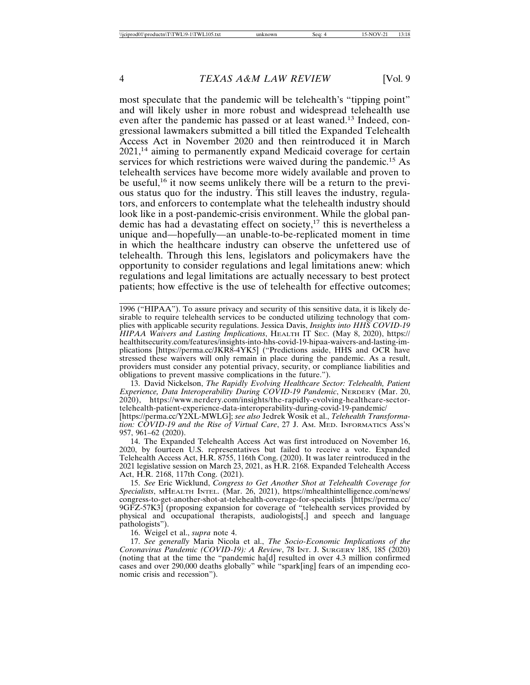most speculate that the pandemic will be telehealth's "tipping point" and will likely usher in more robust and widespread telehealth use even after the pandemic has passed or at least waned.13 Indeed, congressional lawmakers submitted a bill titled the Expanded Telehealth Access Act in November 2020 and then reintroduced it in March 2021,14 aiming to permanently expand Medicaid coverage for certain services for which restrictions were waived during the pandemic.<sup>15</sup> As telehealth services have become more widely available and proven to be useful,<sup>16</sup> it now seems unlikely there will be a return to the previous status quo for the industry. This still leaves the industry, regulators, and enforcers to contemplate what the telehealth industry should look like in a post-pandemic-crisis environment. While the global pandemic has had a devastating effect on society,<sup>17</sup> this is nevertheless a unique and—hopefully—an unable-to-be-replicated moment in time in which the healthcare industry can observe the unfettered use of telehealth. Through this lens, legislators and policymakers have the opportunity to consider regulations and legal limitations anew: which regulations and legal limitations are actually necessary to best protect patients; how effective is the use of telehealth for effective outcomes;

13. David Nickelson, *The Rapidly Evolving Healthcare Sector: Telehealth, Patient Experience, Data Interoperability During COVID-19 Pandemic*, NERDERY (Mar. 20, 2020), https://www.nerdery.com/insights/the-rapidly-evolving-healthcare-sectortelehealth-patient-experience-data-interoperability-during-covid-19-pandemic/

[https://perma.cc/Y2XL-MWLG]; *see also* Jedrek Wosik et al., *Telehealth Transformation: COVID-19 and the Rise of Virtual Care*, 27 J. AM. MED. INFORMATICS ASS'N 957, 961–62 (2020).

14. The Expanded Telehealth Access Act was first introduced on November 16, 2020, by fourteen U.S. representatives but failed to receive a vote. Expanded Telehealth Access Act, H.R. 8755, 116th Cong. (2020). It was later reintroduced in the 2021 legislative session on March 23, 2021, as H.R. 2168. Expanded Telehealth Access Act, H.R. 2168, 117th Cong. (2021).

15. *See* Eric Wicklund, *Congress to Get Another Shot at Telehealth Coverage for Specialists*, MHEALTH INTEL. (Mar. 26, 2021), https://mhealthintelligence.com/news/ congress-to-get-another-shot-at-telehealth-coverage-for-specialists [https://perma.cc/ 9GFZ-57K3] (proposing expansion for coverage of "telehealth services provided by physical and occupational therapists, audiologists[,] and speech and language pathologists").

16. Weigel et al., *supra* note 4.

17. *See generally* Maria Nicola et al., *The Socio-Economic Implications of the Coronavirus Pandemic (COVID-19): A Review*, 78 INT. J. SURGERY 185, 185 (2020) (noting that at the time the "pandemic ha[d] resulted in over 4.3 million confirmed cases and over 290,000 deaths globally" while "spark[ing] fears of an impending economic crisis and recession").

<sup>1996 (&</sup>quot;HIPAA"). To assure privacy and security of this sensitive data, it is likely desirable to require telehealth services to be conducted utilizing technology that complies with applicable security regulations. Jessica Davis, *Insights into HHS COVID-19 HIPAA Waivers and Lasting Implications*, HEALTH IT SEC. (May 8, 2020), https:// healthitsecurity.com/features/insights-into-hhs-covid-19-hipaa-waivers-and-lasting-implications [https://perma.cc/JKR8-4YK5] ("Predictions aside, HHS and OCR have stressed these waivers will only remain in place during the pandemic. As a result, providers must consider any potential privacy, security, or compliance liabilities and obligations to prevent massive complications in the future.").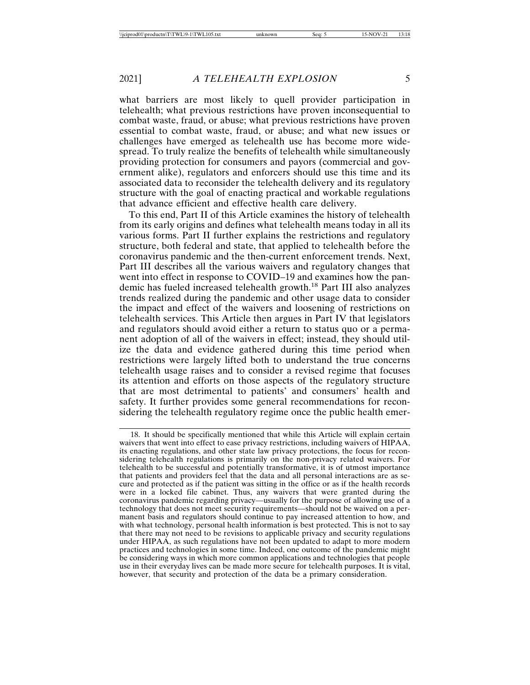what barriers are most likely to quell provider participation in telehealth; what previous restrictions have proven inconsequential to combat waste, fraud, or abuse; what previous restrictions have proven essential to combat waste, fraud, or abuse; and what new issues or challenges have emerged as telehealth use has become more widespread. To truly realize the benefits of telehealth while simultaneously providing protection for consumers and payors (commercial and government alike), regulators and enforcers should use this time and its associated data to reconsider the telehealth delivery and its regulatory structure with the goal of enacting practical and workable regulations that advance efficient and effective health care delivery.

To this end, Part II of this Article examines the history of telehealth from its early origins and defines what telehealth means today in all its various forms. Part II further explains the restrictions and regulatory structure, both federal and state, that applied to telehealth before the coronavirus pandemic and the then-current enforcement trends. Next, Part III describes all the various waivers and regulatory changes that went into effect in response to COVID–19 and examines how the pandemic has fueled increased telehealth growth.18 Part III also analyzes trends realized during the pandemic and other usage data to consider the impact and effect of the waivers and loosening of restrictions on telehealth services. This Article then argues in Part IV that legislators and regulators should avoid either a return to status quo or a permanent adoption of all of the waivers in effect; instead, they should utilize the data and evidence gathered during this time period when restrictions were largely lifted both to understand the true concerns telehealth usage raises and to consider a revised regime that focuses its attention and efforts on those aspects of the regulatory structure that are most detrimental to patients' and consumers' health and safety. It further provides some general recommendations for reconsidering the telehealth regulatory regime once the public health emer-

<sup>18.</sup> It should be specifically mentioned that while this Article will explain certain waivers that went into effect to ease privacy restrictions, including waivers of HIPAA, its enacting regulations, and other state law privacy protections, the focus for reconsidering telehealth regulations is primarily on the non-privacy related waivers. For telehealth to be successful and potentially transformative, it is of utmost importance that patients and providers feel that the data and all personal interactions are as secure and protected as if the patient was sitting in the office or as if the health records were in a locked file cabinet. Thus, any waivers that were granted during the coronavirus pandemic regarding privacy—usually for the purpose of allowing use of a technology that does not meet security requirements—should not be waived on a permanent basis and regulators should continue to pay increased attention to how, and with what technology, personal health information is best protected. This is not to say that there may not need to be revisions to applicable privacy and security regulations under HIPAA, as such regulations have not been updated to adapt to more modern practices and technologies in some time. Indeed, one outcome of the pandemic might be considering ways in which more common applications and technologies that people use in their everyday lives can be made more secure for telehealth purposes. It is vital, however, that security and protection of the data be a primary consideration.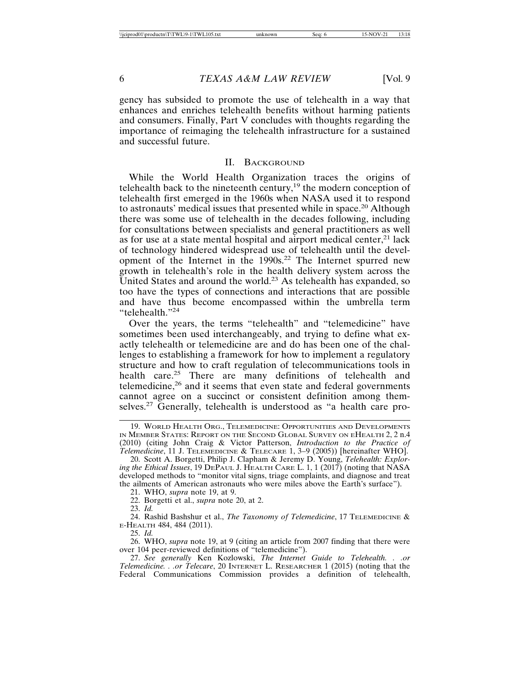gency has subsided to promote the use of telehealth in a way that enhances and enriches telehealth benefits without harming patients and consumers. Finally, Part V concludes with thoughts regarding the importance of reimaging the telehealth infrastructure for a sustained and successful future.

#### II. BACKGROUND

While the World Health Organization traces the origins of telehealth back to the nineteenth century,<sup>19</sup> the modern conception of telehealth first emerged in the 1960s when NASA used it to respond to astronauts' medical issues that presented while in space.<sup>20</sup> Although there was some use of telehealth in the decades following, including for consultations between specialists and general practitioners as well as for use at a state mental hospital and airport medical center, $21$  lack of technology hindered widespread use of telehealth until the development of the Internet in the 1990s.<sup>22</sup> The Internet spurred new growth in telehealth's role in the health delivery system across the United States and around the world.<sup>23</sup> As telehealth has expanded, so too have the types of connections and interactions that are possible and have thus become encompassed within the umbrella term "telehealth."<sup>24</sup>

Over the years, the terms "telehealth" and "telemedicine" have sometimes been used interchangeably, and trying to define what exactly telehealth or telemedicine are and do has been one of the challenges to establishing a framework for how to implement a regulatory structure and how to craft regulation of telecommunications tools in health care.<sup>25</sup> There are many definitions of telehealth and telemedicine, $26$  and it seems that even state and federal governments cannot agree on a succinct or consistent definition among themselves.<sup>27</sup> Generally, telehealth is understood as "a health care pro-

21. WHO, *supra* note 19, at 9.

22. Borgetti et al., *supra* note 20, at 2.

23. *Id.*

24. Rashid Bashshur et al., *The Taxonomy of Telemedicine*, 17 TELEMEDICINE & E-HEALTH 484, 484 (2011).

25. *Id.*

26. WHO, *supra* note 19, at 9 (citing an article from 2007 finding that there were over 104 peer-reviewed definitions of "telemedicine").

27. *See generally* Ken Kozlowski, *The Internet Guide to Telehealth. . .or Telemedicine. . .or Telecare*, 20 INTERNET L. RESEARCHER 1 (2015) (noting that the Federal Communications Commission provides a definition of telehealth,

<sup>19.</sup> WORLD HEALTH ORG., TELEMEDICINE: OPPORTUNITIES AND DEVELOPMENTS IN MEMBER STATES: REPORT ON THE SECOND GLOBAL SURVEY ON EHEALTH 2, 2 n.4 (2010) (citing John Craig & Victor Patterson, *Introduction to the Practice of Telemedicine*, 11 J. TELEMEDICINE & TELECARE 1, 3–9 (2005)) [hereinafter WHO].

<sup>20.</sup> Scott A. Borgetti, Philip J. Clapham & Jeremy D. Young, *Telehealth: Exploring the Ethical Issues*, 19 DEPAUL J. HEALTH CARE L. 1, 1 (2017) (noting that NASA developed methods to "monitor vital signs, triage complaints, and diagnose and treat the ailments of American astronauts who were miles above the Earth's surface").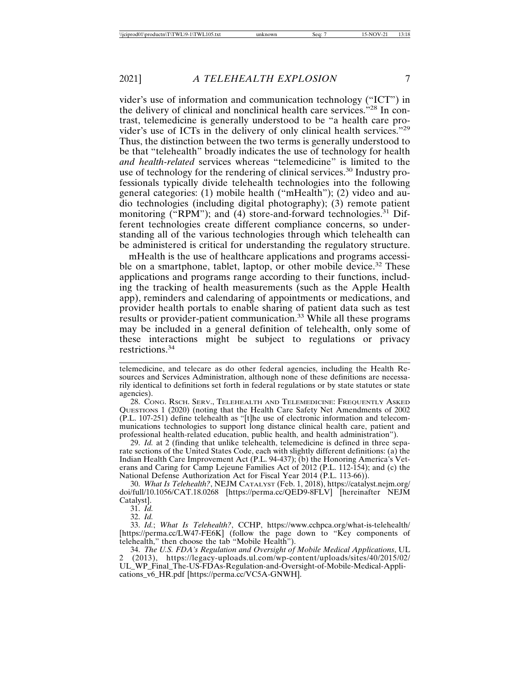vider's use of information and communication technology ("ICT") in the delivery of clinical and nonclinical health care services."28 In contrast, telemedicine is generally understood to be "a health care provider's use of ICTs in the delivery of only clinical health services."<sup>29</sup> Thus, the distinction between the two terms is generally understood to be that "telehealth" broadly indicates the use of technology for health *and health-related* services whereas "telemedicine" is limited to the use of technology for the rendering of clinical services.<sup>30</sup> Industry professionals typically divide telehealth technologies into the following general categories: (1) mobile health ("mHealth"); (2) video and audio technologies (including digital photography); (3) remote patient monitoring ("RPM"); and (4) store-and-forward technologies.<sup>31</sup> Different technologies create different compliance concerns, so understanding all of the various technologies through which telehealth can be administered is critical for understanding the regulatory structure.

mHealth is the use of healthcare applications and programs accessible on a smartphone, tablet, laptop, or other mobile device.<sup>32</sup> These applications and programs range according to their functions, including the tracking of health measurements (such as the Apple Health app), reminders and calendaring of appointments or medications, and provider health portals to enable sharing of patient data such as test results or provider-patient communication.<sup>33</sup> While all these programs may be included in a general definition of telehealth, only some of these interactions might be subject to regulations or privacy restrictions.34

29. *Id.* at 2 (finding that unlike telehealth, telemedicine is defined in three separate sections of the United States Code, each with slightly different definitions: (a) the Indian Health Care Improvement Act (P.L. 94-437); (b) the Honoring America's Veterans and Caring for Camp Lejeune Families Act of 2012 (P.L. 112-154); and (c) the National Defense Authorization Act for Fiscal Year 2014 (P.L. 113-66)).

30. *What Is Telehealth?*, NEJM CATALYST (Feb. 1, 2018), https://catalyst.nejm.org/ doi/full/10.1056/CAT.18.0268 [https://perma.cc/QED9-8FLV] [hereinafter NEJM Catalyst].

31. *Id.*

32. *Id.*

33. *Id.*; *What Is Telehealth?*, CCHP, https://www.cchpca.org/what-is-telehealth/ [https://perma.cc/LW47-FE6K] (follow the page down to "Key components of telehealth," then choose the tab "Mobile Health").

telemedicine, and telecare as do other federal agencies, including the Health Resources and Services Administration, although none of these definitions are necessarily identical to definitions set forth in federal regulations or by state statutes or state agencies).

<sup>28.</sup> CONG. RSCH. SERV., TELEHEALTH AND TELEMEDICINE: FREQUENTLY ASKED QUESTIONS 1 (2020) (noting that the Health Care Safety Net Amendments of 2002 (P.L. 107-251) define telehealth as "[t]he use of electronic information and telecommunications technologies to support long distance clinical health care, patient and professional health-related education, public health, and health administration").

<sup>34.</sup> *The U.S. FDA's Regulation and Oversight of Mobile Medical Applications*, UL 2 (2013), https://legacy-uploads.ul.com/wp-content/uploads/sites/40/2015/02/ UL\_WP\_Final\_The-US-FDAs-Regulation-and-Oversight-of-Mobile-Medical-Applications\_v6\_HR.pdf [https://perma.cc/VC5A-GNWH].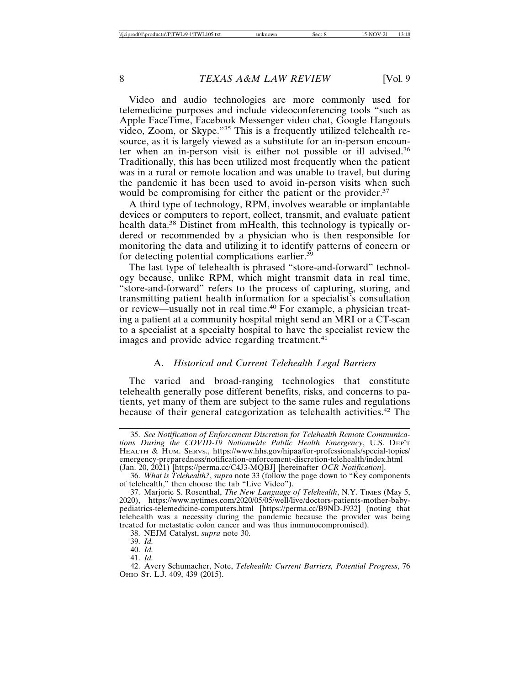Video and audio technologies are more commonly used for telemedicine purposes and include videoconferencing tools "such as Apple FaceTime, Facebook Messenger video chat, Google Hangouts video, Zoom, or Skype."35 This is a frequently utilized telehealth resource, as it is largely viewed as a substitute for an in-person encounter when an in-person visit is either not possible or ill advised.<sup>36</sup> Traditionally, this has been utilized most frequently when the patient was in a rural or remote location and was unable to travel, but during the pandemic it has been used to avoid in-person visits when such would be compromising for either the patient or the provider.<sup>37</sup>

A third type of technology, RPM, involves wearable or implantable devices or computers to report, collect, transmit, and evaluate patient health data.<sup>38</sup> Distinct from mHealth, this technology is typically ordered or recommended by a physician who is then responsible for monitoring the data and utilizing it to identify patterns of concern or for detecting potential complications earlier.<sup>39</sup>

The last type of telehealth is phrased "store-and-forward" technology because, unlike RPM, which might transmit data in real time, "store-and-forward" refers to the process of capturing, storing, and transmitting patient health information for a specialist's consultation or review—usually not in real time.40 For example, a physician treating a patient at a community hospital might send an MRI or a CT-scan to a specialist at a specialty hospital to have the specialist review the images and provide advice regarding treatment.<sup>41</sup>

#### A. *Historical and Current Telehealth Legal Barriers*

The varied and broad-ranging technologies that constitute telehealth generally pose different benefits, risks, and concerns to patients, yet many of them are subject to the same rules and regulations because of their general categorization as telehealth activities.42 The

38. NEJM Catalyst, *supra* note 30.

<sup>35.</sup> *See Notification of Enforcement Discretion for Telehealth Remote Communications During the COVID-19 Nationwide Public Health Emergency*, U.S. DEP'T HEALTH & HUM. SERVS., https://www.hhs.gov/hipaa/for-professionals/special-topics/ emergency-preparedness/notification-enforcement-discretion-telehealth/index.html (Jan. 20, 2021) [https://perma.cc/C4J3-MQBJ] [hereinafter *OCR Notification*].

<sup>36.</sup> *What is Telehealth?*, *supra* note 33 (follow the page down to "Key components of telehealth," then choose the tab "Live Video").

<sup>37.</sup> Marjorie S. Rosenthal, *The New Language of Telehealth*, N.Y. TIMES (May 5, 2020), https://www.nytimes.com/2020/05/05/well/live/doctors-patients-mother-babypediatrics-telemedicine-computers.html [https://perma.cc/B9ND-J932] (noting that telehealth was a necessity during the pandemic because the provider was being treated for metastatic colon cancer and was thus immunocompromised).

<sup>39.</sup> *Id.*

<sup>40.</sup> *Id.*

<sup>41.</sup> *Id.*

<sup>42.</sup> Avery Schumacher, Note, *Telehealth: Current Barriers, Potential Progress*, 76 OHIO ST. L.J. 409, 439 (2015).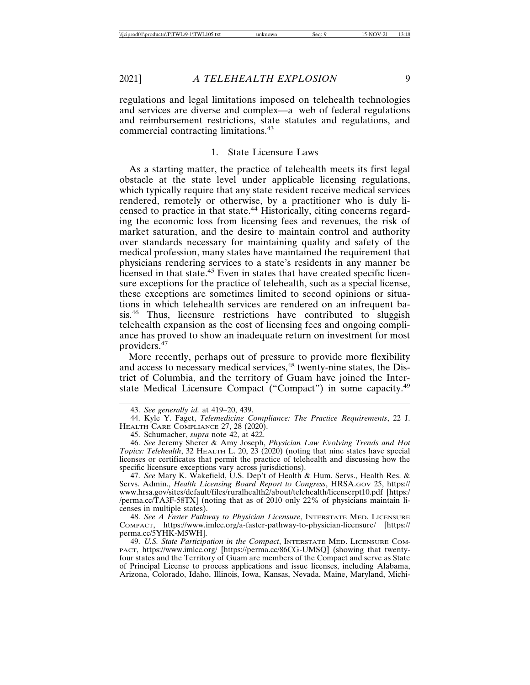regulations and legal limitations imposed on telehealth technologies and services are diverse and complex—a web of federal regulations and reimbursement restrictions, state statutes and regulations, and commercial contracting limitations.<sup>43</sup>

## 1. State Licensure Laws

As a starting matter, the practice of telehealth meets its first legal obstacle at the state level under applicable licensing regulations, which typically require that any state resident receive medical services rendered, remotely or otherwise, by a practitioner who is duly licensed to practice in that state.44 Historically, citing concerns regarding the economic loss from licensing fees and revenues, the risk of market saturation, and the desire to maintain control and authority over standards necessary for maintaining quality and safety of the medical profession, many states have maintained the requirement that physicians rendering services to a state's residents in any manner be licensed in that state.<sup>45</sup> Even in states that have created specific licensure exceptions for the practice of telehealth, such as a special license, these exceptions are sometimes limited to second opinions or situations in which telehealth services are rendered on an infrequent basis.46 Thus, licensure restrictions have contributed to sluggish telehealth expansion as the cost of licensing fees and ongoing compliance has proved to show an inadequate return on investment for most providers.<sup>47</sup>

More recently, perhaps out of pressure to provide more flexibility and access to necessary medical services,<sup>48</sup> twenty-nine states, the District of Columbia, and the territory of Guam have joined the Interstate Medical Licensure Compact ("Compact") in some capacity.<sup>49</sup>

46. *See* Jeremy Sherer & Amy Joseph, *Physician Law Evolving Trends and Hot Topics: Telehealth*, 32 HEALTH L. 20, 23 (2020) (noting that nine states have special licenses or certificates that permit the practice of telehealth and discussing how the specific licensure exceptions vary across jurisdictions).

47. *See* Mary K. Wakefield, U.S. Dep't of Health & Hum. Servs., Health Res. & Servs. Admin., *Health Licensing Board Report to Congress*, HRSA.GOV 25, https:// www.hrsa.gov/sites/default/files/ruralhealth2/about/telehealth/licenserpt10.pdf [https:/ /perma.cc/TA3F-58TX] (noting that as of 2010 only 22% of physicians maintain licenses in multiple states).

48. *See A Faster Pathway to Physician Licensure*, INTERSTATE MED. LICENSURE COMPACT, https://www.imlcc.org/a-faster-pathway-to-physician-licensure/ [https:// perma.cc/5YHK-M5WH].

49. *U.S. State Participation in the Compact*, INTERSTATE MED. LICENSURE COM-PACT, https://www.imlcc.org/ [https://perma.cc/86CG-UMSQ] (showing that twentyfour states and the Territory of Guam are members of the Compact and serve as State of Principal License to process applications and issue licenses, including Alabama, Arizona, Colorado, Idaho, Illinois, Iowa, Kansas, Nevada, Maine, Maryland, Michi-

<sup>43.</sup> *See generally id.* at 419–20, 439.

<sup>44.</sup> Kyle Y. Faget, *Telemedicine Compliance: The Practice Requirements*, 22 J. HEALTH CARE COMPLIANCE 27, 28 (2020).

<sup>45.</sup> Schumacher, *supra* note 42, at 422.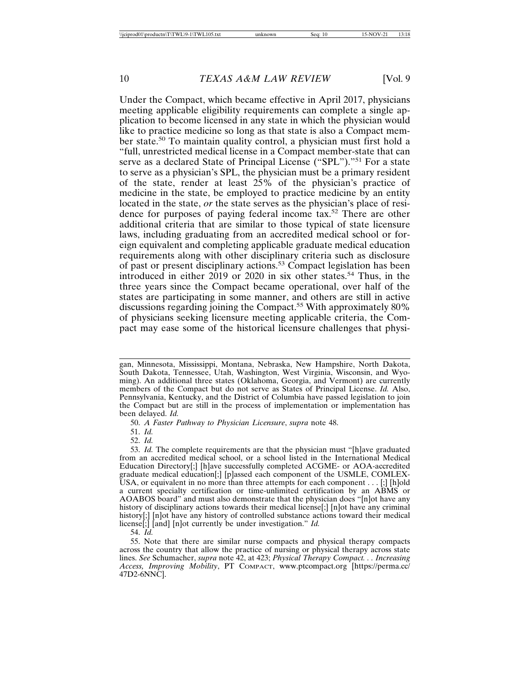Under the Compact, which became effective in April 2017, physicians meeting applicable eligibility requirements can complete a single application to become licensed in any state in which the physician would like to practice medicine so long as that state is also a Compact member state.50 To maintain quality control, a physician must first hold a "full, unrestricted medical license in a Compact member-state that can serve as a declared State of Principal License ("SPL")."<sup>51</sup> For a state to serve as a physician's SPL, the physician must be a primary resident of the state, render at least 25% of the physician's practice of medicine in the state, be employed to practice medicine by an entity located in the state, *or* the state serves as the physician's place of residence for purposes of paying federal income tax.52 There are other additional criteria that are similar to those typical of state licensure laws, including graduating from an accredited medical school or foreign equivalent and completing applicable graduate medical education requirements along with other disciplinary criteria such as disclosure of past or present disciplinary actions.53 Compact legislation has been introduced in either 2019 or 2020 in six other states.<sup>54</sup> Thus, in the three years since the Compact became operational, over half of the states are participating in some manner, and others are still in active discussions regarding joining the Compact.<sup>55</sup> With approximately 80% of physicians seeking licensure meeting applicable criteria, the Compact may ease some of the historical licensure challenges that physi-

54. *Id.*

gan, Minnesota, Mississippi, Montana, Nebraska, New Hampshire, North Dakota, South Dakota, Tennessee, Utah, Washington, West Virginia, Wisconsin, and Wyoming). An additional three states (Oklahoma, Georgia, and Vermont) are currently members of the Compact but do not serve as States of Principal License. *Id.* Also, Pennsylvania, Kentucky, and the District of Columbia have passed legislation to join the Compact but are still in the process of implementation or implementation has been delayed. *Id.*

<sup>50.</sup> *A Faster Pathway to Physician Licensure*, *supra* note 48.

<sup>51.</sup> *Id.*

<sup>52.</sup> *Id.*

<sup>53.</sup> *Id.* The complete requirements are that the physician must "[h]ave graduated from an accredited medical school, or a school listed in the International Medical Education Directory[;] [h]ave successfully completed ACGME- or AOA-accredited graduate medical education[;] [p]assed each component of the USMLE, COMLEX-USA, or equivalent in no more than three attempts for each component . . . [;] [h]old a current specialty certification or time-unlimited certification by an ABMS or AOABOS board" and must also demonstrate that the physician does "[n]ot have any history of disciplinary actions towards their medical license[;] [n]ot have any criminal history[;] [n]ot have any history of controlled substance actions toward their medical license[;] [and] [n]ot currently be under investigation." *Id.*

<sup>55.</sup> Note that there are similar nurse compacts and physical therapy compacts across the country that allow the practice of nursing or physical therapy across state lines. *See* Schumacher, *supra* note 42, at 423; *Physical Therapy Compact. . . Increasing Access, Improving Mobility*, PT COMPACT, www.ptcompact.org [https://perma.cc/ 47D2-6NNC].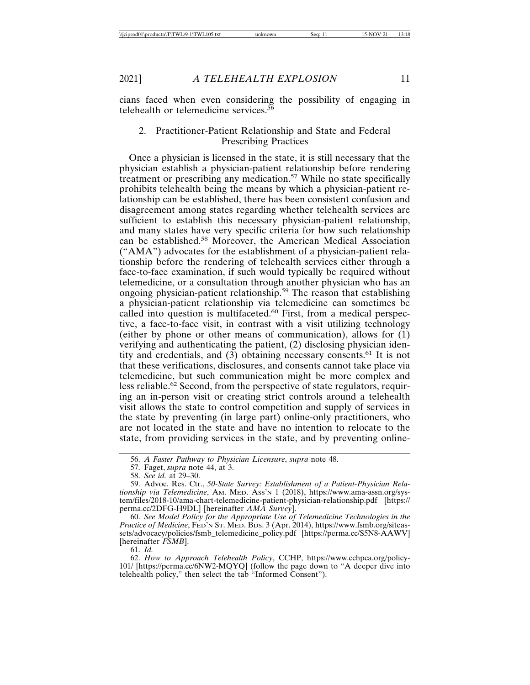cians faced when even considering the possibility of engaging in telehealth or telemedicine services. $56$ 

# 2. Practitioner-Patient Relationship and State and Federal Prescribing Practices

Once a physician is licensed in the state, it is still necessary that the physician establish a physician-patient relationship before rendering treatment or prescribing any medication.<sup>57</sup> While no state specifically prohibits telehealth being the means by which a physician-patient relationship can be established, there has been consistent confusion and disagreement among states regarding whether telehealth services are sufficient to establish this necessary physician-patient relationship, and many states have very specific criteria for how such relationship can be established.58 Moreover, the American Medical Association ("AMA") advocates for the establishment of a physician-patient relationship before the rendering of telehealth services either through a face-to-face examination, if such would typically be required without telemedicine, or a consultation through another physician who has an ongoing physician-patient relationship.59 The reason that establishing a physician-patient relationship via telemedicine can sometimes be called into question is multifaceted.<sup>60</sup> First, from a medical perspective, a face-to-face visit, in contrast with a visit utilizing technology (either by phone or other means of communication), allows for (1) verifying and authenticating the patient, (2) disclosing physician identity and credentials, and  $(3)$  obtaining necessary consents.<sup>61</sup> It is not that these verifications, disclosures, and consents cannot take place via telemedicine, but such communication might be more complex and less reliable.<sup>62</sup> Second, from the perspective of state regulators, requiring an in-person visit or creating strict controls around a telehealth visit allows the state to control competition and supply of services in the state by preventing (in large part) online-only practitioners, who are not located in the state and have no intention to relocate to the state, from providing services in the state, and by preventing online-

<sup>56.</sup> *A Faster Pathway to Physician Licensure*, *supra* note 48.

<sup>57.</sup> Faget, *supra* note 44, at 3.

<sup>58.</sup> *See id.* at 29–30.

<sup>59.</sup> Advoc. Res. Ctr., *50-State Survey: Establishment of a Patient-Physician Relationship via Telemedicine*, AM. MED. ASS'N 1 (2018), https://www.ama-assn.org/system/files/2018-10/ama-chart-telemedicine-patient-physician-relationship.pdf [https:// perma.cc/2DFG-H9DL] [hereinafter *AMA Survey*].

<sup>60.</sup> *See Model Policy for the Appropriate Use of Telemedicine Technologies in the Practice of Medicine*, FED'N ST. MED. BDS. 3 (Apr. 2014), https://www.fsmb.org/siteassets/advocacy/policies/fsmb\_telemedicine\_policy.pdf [https://perma.cc/S5N8-AAWV] [hereinafter *FSMB*].

<sup>61.</sup> *Id.*

<sup>62.</sup> *How to Approach Telehealth Policy*, CCHP, https://www.cchpca.org/policy-101/ [https://perma.cc/6NW2-MQYQ] (follow the page down to "A deeper dive into telehealth policy," then select the tab "Informed Consent").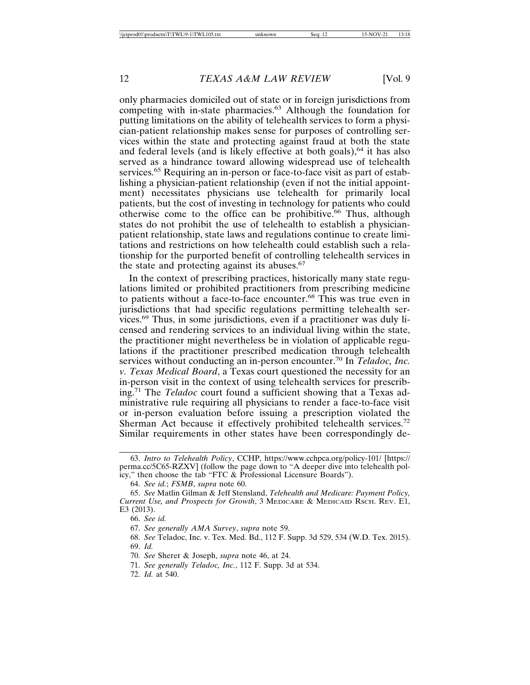only pharmacies domiciled out of state or in foreign jurisdictions from competing with in-state pharmacies.<sup>63</sup> Although the foundation for putting limitations on the ability of telehealth services to form a physician-patient relationship makes sense for purposes of controlling services within the state and protecting against fraud at both the state and federal levels (and is likely effective at both goals),  $64$  it has also served as a hindrance toward allowing widespread use of telehealth services.<sup>65</sup> Requiring an in-person or face-to-face visit as part of establishing a physician-patient relationship (even if not the initial appointment) necessitates physicians use telehealth for primarily local patients, but the cost of investing in technology for patients who could otherwise come to the office can be prohibitive.<sup>66</sup> Thus, although states do not prohibit the use of telehealth to establish a physicianpatient relationship, state laws and regulations continue to create limitations and restrictions on how telehealth could establish such a relationship for the purported benefit of controlling telehealth services in the state and protecting against its abuses.<sup>67</sup>

In the context of prescribing practices, historically many state regulations limited or prohibited practitioners from prescribing medicine to patients without a face-to-face encounter.68 This was true even in jurisdictions that had specific regulations permitting telehealth services.69 Thus, in some jurisdictions, even if a practitioner was duly licensed and rendering services to an individual living within the state, the practitioner might nevertheless be in violation of applicable regulations if the practitioner prescribed medication through telehealth services without conducting an in-person encounter.70 In *Teladoc, Inc. v. Texas Medical Board*, a Texas court questioned the necessity for an in-person visit in the context of using telehealth services for prescribing.71 The *Teladoc* court found a sufficient showing that a Texas administrative rule requiring all physicians to render a face-to-face visit or in-person evaluation before issuing a prescription violated the Sherman Act because it effectively prohibited telehealth services.<sup>72</sup> Similar requirements in other states have been correspondingly de-

64. *See id.*; *FSMB*, *supra* note 60.

66. *See id.*

67. *See generally AMA Survey*, *supra* note 59.

72. *Id.* at 540.

<sup>63.</sup> *Intro to Telehealth Policy*, CCHP, https://www.cchpca.org/policy-101/ [https:// perma.cc/5C65-RZXV] (follow the page down to "A deeper dive into telehealth policy," then choose the tab "FTC & Professional Licensure Boards").

<sup>65.</sup> *See* Matlin Gilman & Jeff Stensland, *Telehealth and Medicare: Payment Policy, Current Use, and Prospects for Growth*, 3 MEDICARE & MEDICAID RSCH. REV. E1, E3 (2013).

<sup>68.</sup> *See* Teladoc, Inc. v. Tex. Med. Bd., 112 F. Supp. 3d 529, 534 (W.D. Tex. 2015). 69. *Id.*

<sup>70.</sup> *See* Sherer & Joseph, *supra* note 46, at 24.

<sup>71.</sup> *See generally Teladoc, Inc.*, 112 F. Supp. 3d at 534.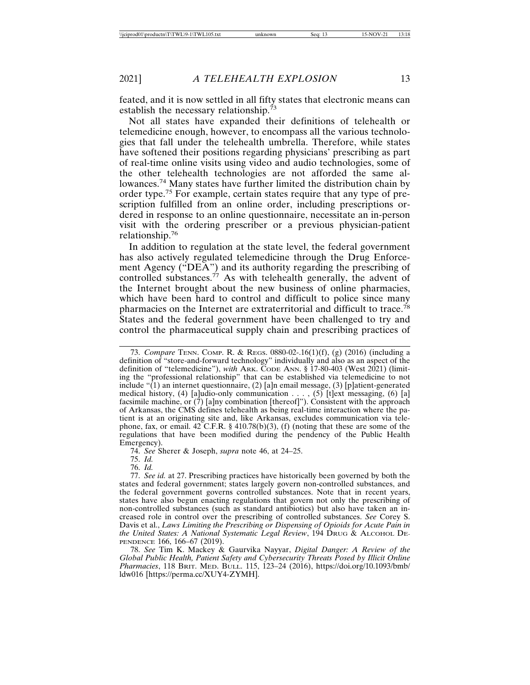feated, and it is now settled in all fifty states that electronic means can establish the necessary relationship.<sup>73</sup>

Not all states have expanded their definitions of telehealth or telemedicine enough, however, to encompass all the various technologies that fall under the telehealth umbrella. Therefore, while states have softened their positions regarding physicians' prescribing as part of real-time online visits using video and audio technologies, some of the other telehealth technologies are not afforded the same allowances.74 Many states have further limited the distribution chain by order type.75 For example, certain states require that any type of prescription fulfilled from an online order, including prescriptions ordered in response to an online questionnaire, necessitate an in-person visit with the ordering prescriber or a previous physician-patient relationship.<sup>76</sup>

In addition to regulation at the state level, the federal government has also actively regulated telemedicine through the Drug Enforcement Agency ("DEA") and its authority regarding the prescribing of controlled substances.<sup> $77$ </sup> As with telehealth generally, the advent of the Internet brought about the new business of online pharmacies, which have been hard to control and difficult to police since many pharmacies on the Internet are extraterritorial and difficult to trace.<sup>78</sup> States and the federal government have been challenged to try and control the pharmaceutical supply chain and prescribing practices of

76. *Id.*

78. *See* Tim K. Mackey & Gaurvika Nayyar, *Digital Danger: A Review of the Global Public Health, Patient Safety and Cybersecurity Threats Posed by Illicit Online Pharmacies*, 118 BRIT. MED. BULL. 115, 123–24 (2016), https://doi.org/10.1093/bmb/ ldw016 [https://perma.cc/XUY4-ZYMH].

<sup>73.</sup> *Compare* TENN. COMP. R. & REGS. 0880-02-.16(1)(f), (g) (2016) (including a definition of "store-and-forward technology" individually and also as an aspect of the definition of "telemedicine"), *with* ARK. CODE ANN. § 17-80-403 (West 2021) (limiting the "professional relationship" that can be established via telemedicine to not include " $(1)$  an internet questionnaire,  $(2)$  [a]n email message,  $(3)$  [p]atient-generated medical history, (4) [a]udio-only communication  $\dots$ , (5) [t]ext messaging, (6) [a] facsimile machine, or (7) [a]ny combination [thereof]"). Consistent with the approach of Arkansas, the CMS defines telehealth as being real-time interaction where the patient is at an originating site and, like Arkansas, excludes communication via telephone, fax, or email.  $42 \text{ C.F.R. }$  §  $410.78(b)(3)$ , (f) (noting that these are some of the regulations that have been modified during the pendency of the Public Health Emergency).

<sup>74.</sup> *See* Sherer & Joseph, *supra* note 46, at 24–25.

<sup>75.</sup> *Id.*

<sup>77.</sup> *See id.* at 27. Prescribing practices have historically been governed by both the states and federal government; states largely govern non-controlled substances, and the federal government governs controlled substances. Note that in recent years, states have also begun enacting regulations that govern not only the prescribing of non-controlled substances (such as standard antibiotics) but also have taken an increased role in control over the prescribing of controlled substances. *See* Corey S. Davis et al., *Laws Limiting the Prescribing or Dispensing of Opioids for Acute Pain in the United States: A National Systematic Legal Review*, 194 DRUG & ALCOHOL DE-PENDENCE 166, 166–67 (2019).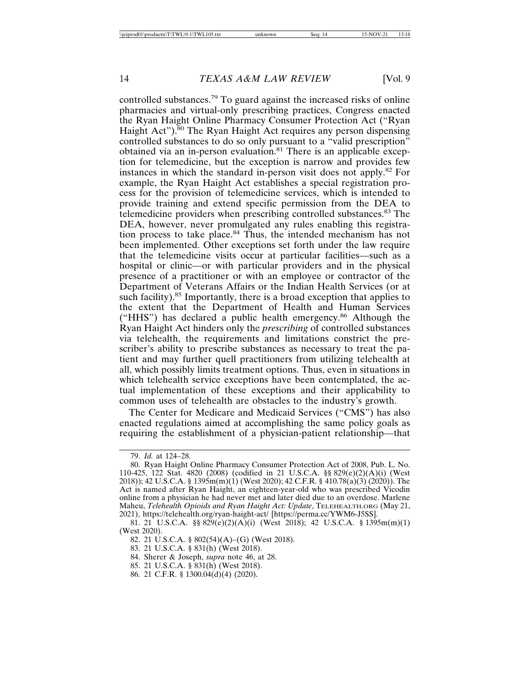controlled substances.79 To guard against the increased risks of online pharmacies and virtual-only prescribing practices, Congress enacted the Ryan Haight Online Pharmacy Consumer Protection Act ("Ryan Haight Act").<sup>80</sup> The Ryan Haight Act requires any person dispensing controlled substances to do so only pursuant to a "valid prescription" obtained via an in-person evaluation.<sup>81</sup> There is an applicable exception for telemedicine, but the exception is narrow and provides few instances in which the standard in-person visit does not apply.82 For example, the Ryan Haight Act establishes a special registration process for the provision of telemedicine services, which is intended to provide training and extend specific permission from the DEA to telemedicine providers when prescribing controlled substances.83 The DEA, however, never promulgated any rules enabling this registration process to take place.84 Thus, the intended mechanism has not been implemented. Other exceptions set forth under the law require that the telemedicine visits occur at particular facilities—such as a hospital or clinic—or with particular providers and in the physical presence of a practitioner or with an employee or contractor of the Department of Veterans Affairs or the Indian Health Services (or at such facility).<sup>85</sup> Importantly, there is a broad exception that applies to the extent that the Department of Health and Human Services ("HHS") has declared a public health emergency.86 Although the Ryan Haight Act hinders only the *prescribing* of controlled substances via telehealth, the requirements and limitations constrict the prescriber's ability to prescribe substances as necessary to treat the patient and may further quell practitioners from utilizing telehealth at all, which possibly limits treatment options. Thus, even in situations in which telehealth service exceptions have been contemplated, the actual implementation of these exceptions and their applicability to common uses of telehealth are obstacles to the industry's growth.

The Center for Medicare and Medicaid Services ("CMS") has also enacted regulations aimed at accomplishing the same policy goals as requiring the establishment of a physician-patient relationship—that

- 83. 21 U.S.C.A. § 831(h) (West 2018).
- 84. Sherer & Joseph, *supra* note 46, at 28.
- 85. 21 U.S.C.A. § 831(h) (West 2018).
- 86. 21 C.F.R. § 1300.04(d)(4) (2020).

<sup>79.</sup> *Id.* at 124–28.

<sup>80.</sup> Ryan Haight Online Pharmacy Consumer Protection Act of 2008, Pub. L. No. 110-425, 122 Stat. 4820 (2008) (codified in 21 U.S.C.A. §§ 829(e)(2)(A)(i) (West 2018)); 42 U.S.C.A. § 1395m(m)(1) (West 2020); 42 C.F.R. § 410.78(a)(3) (2020)). The Act is named after Ryan Haight, an eighteen-year-old who was prescribed Vicodin online from a physician he had never met and later died due to an overdose. Marlene Maheu, *Telehealth Opioids and Ryan Haight Act: Update*, TELEHEALTH.ORG (May 21, 2021), https://telehealth.org/ryan-haight-act/ [https://perma.cc/YWM6-J5SS].

<sup>81. 21</sup> U.S.C.A. §§ 829(e)(2)(A)(i) (West 2018); 42 U.S.C.A. § 1395m(m)(1) (West 2020).

<sup>82. 21</sup> U.S.C.A. § 802(54)(A)–(G) (West 2018).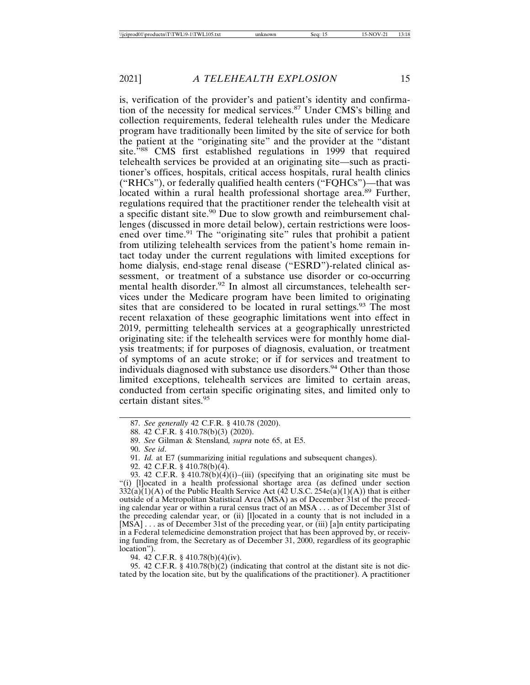is, verification of the provider's and patient's identity and confirmation of the necessity for medical services.<sup>87</sup> Under CMS's billing and collection requirements, federal telehealth rules under the Medicare program have traditionally been limited by the site of service for both the patient at the "originating site" and the provider at the "distant site."<sup>88</sup> CMS first established regulations in 1999 that required telehealth services be provided at an originating site—such as practitioner's offices, hospitals, critical access hospitals, rural health clinics ("RHCs"), or federally qualified health centers ("FQHCs")—that was located within a rural health professional shortage area.<sup>89</sup> Further, regulations required that the practitioner render the telehealth visit at a specific distant site.<sup>90</sup> Due to slow growth and reimbursement challenges (discussed in more detail below), certain restrictions were loosened over time.<sup>91</sup> The "originating site" rules that prohibit a patient from utilizing telehealth services from the patient's home remain intact today under the current regulations with limited exceptions for home dialysis, end-stage renal disease ("ESRD")-related clinical assessment, or treatment of a substance use disorder or co-occurring mental health disorder.<sup>92</sup> In almost all circumstances, telehealth services under the Medicare program have been limited to originating sites that are considered to be located in rural settings.<sup>93</sup> The most recent relaxation of these geographic limitations went into effect in 2019, permitting telehealth services at a geographically unrestricted originating site: if the telehealth services were for monthly home dialysis treatments; if for purposes of diagnosis, evaluation, or treatment of symptoms of an acute stroke; or if for services and treatment to individuals diagnosed with substance use disorders.<sup>94</sup> Other than those limited exceptions, telehealth services are limited to certain areas, conducted from certain specific originating sites, and limited only to certain distant sites.<sup>95</sup>

92. 42 C.F.R. § 410.78(b)(4).

93. 42 C.F.R. § 410.78(b)(4)(i)–(iii) (specifying that an originating site must be "(i) [l]ocated in a health professional shortage area (as defined under section  $332(a)(1)(A)$  of the Public Health Service Act  $(42 \text{ U.S.C. } 254e(a)(1)(A))$  that is either outside of a Metropolitan Statistical Area (MSA) as of December 31st of the preceding calendar year or within a rural census tract of an MSA . . . as of December 31st of the preceding calendar year, or (ii) [l]ocated in a county that is not included in a [MSA] . . . as of December 31st of the preceding year, or (iii) [a]n entity participating in a Federal telemedicine demonstration project that has been approved by, or receiving funding from, the Secretary as of December 31, 2000, regardless of its geographic location").

94. 42 C.F.R. § 410.78(b)(4)(iv).

95. 42 C.F.R. § 410.78(b)(2) (indicating that control at the distant site is not dictated by the location site, but by the qualifications of the practitioner). A practitioner

<sup>87.</sup> *See generally* 42 C.F.R. § 410.78 (2020).

<sup>88. 42</sup> C.F.R. § 410.78(b)(3) (2020).

<sup>89.</sup> *See* Gilman & Stensland*, supra* note 65, at E5.

<sup>90.</sup> *See id*.

<sup>91.</sup> *Id.* at E7 (summarizing initial regulations and subsequent changes).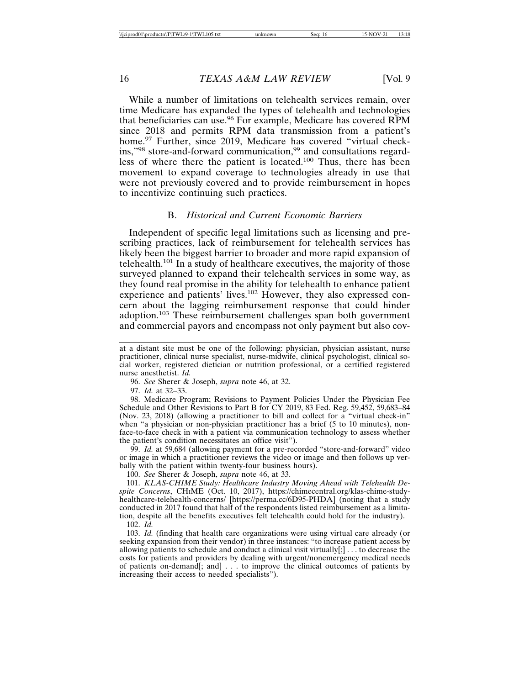While a number of limitations on telehealth services remain, over time Medicare has expanded the types of telehealth and technologies that beneficiaries can use.96 For example, Medicare has covered RPM since 2018 and permits RPM data transmission from a patient's home.<sup>97</sup> Further, since 2019, Medicare has covered "virtual checkins,"<sup>98</sup> store-and-forward communication,<sup>99</sup> and consultations regardless of where there the patient is located.100 Thus, there has been movement to expand coverage to technologies already in use that were not previously covered and to provide reimbursement in hopes to incentivize continuing such practices.

#### B. *Historical and Current Economic Barriers*

Independent of specific legal limitations such as licensing and prescribing practices, lack of reimbursement for telehealth services has likely been the biggest barrier to broader and more rapid expansion of telehealth.101 In a study of healthcare executives, the majority of those surveyed planned to expand their telehealth services in some way, as they found real promise in the ability for telehealth to enhance patient experience and patients' lives.<sup>102</sup> However, they also expressed concern about the lagging reimbursement response that could hinder adoption.103 These reimbursement challenges span both government and commercial payors and encompass not only payment but also cov-

96. *See* Sherer & Joseph, *supra* note 46, at 32.

97. *Id.* at 32–33.

98. Medicare Program; Revisions to Payment Policies Under the Physician Fee Schedule and Other Revisions to Part B for CY 2019, 83 Fed. Reg. 59,452, 59,683–84 (Nov. 23, 2018) (allowing a practitioner to bill and collect for a "virtual check-in" when "a physician or non-physician practitioner has a brief (5 to 10 minutes), nonface-to-face check in with a patient via communication technology to assess whether the patient's condition necessitates an office visit").

99. *Id.* at 59,684 (allowing payment for a pre-recorded "store-and-forward" video or image in which a practitioner reviews the video or image and then follows up verbally with the patient within twenty-four business hours).

100. *See* Sherer & Joseph, *supra* note 46, at 33.

101. *KLAS-CHIME Study: Healthcare Industry Moving Ahead with Telehealth Despite Concerns*, CHIME (Oct. 10, 2017), https://chimecentral.org/klas-chime-studyhealthcare-telehealth-concerns/ [https://perma.cc/6D95-PHDA] (noting that a study conducted in 2017 found that half of the respondents listed reimbursement as a limitation, despite all the benefits executives felt telehealth could hold for the industry).

102. *Id.*

103. *Id.* (finding that health care organizations were using virtual care already (or seeking expansion from their vendor) in three instances: "to increase patient access by allowing patients to schedule and conduct a clinical visit virtually $[:, \dots, to]$  decrease the costs for patients and providers by dealing with urgent/nonemergency medical needs of patients on-demand[; and] . . . to improve the clinical outcomes of patients by increasing their access to needed specialists").

at a distant site must be one of the following: physician, physician assistant, nurse practitioner, clinical nurse specialist, nurse-midwife, clinical psychologist, clinical social worker, registered dietician or nutrition professional, or a certified registered nurse anesthetist. *Id.*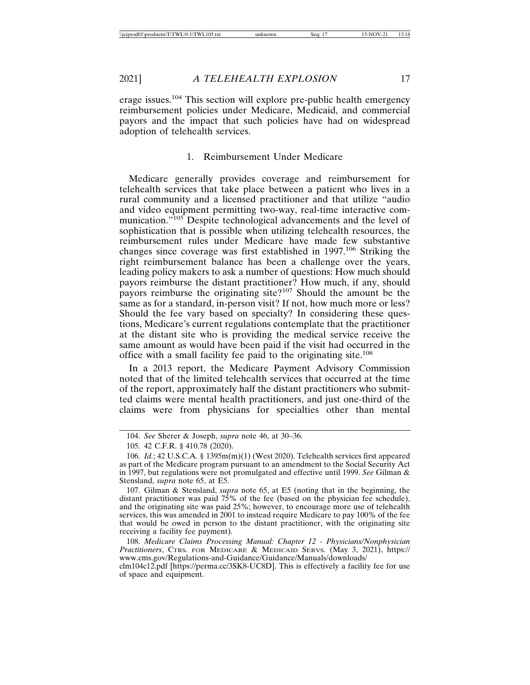erage issues.104 This section will explore pre-public health emergency reimbursement policies under Medicare, Medicaid, and commercial payors and the impact that such policies have had on widespread adoption of telehealth services.

#### 1. Reimbursement Under Medicare

Medicare generally provides coverage and reimbursement for telehealth services that take place between a patient who lives in a rural community and a licensed practitioner and that utilize "audio and video equipment permitting two-way, real-time interactive communication."<sup>105</sup> Despite technological advancements and the level of sophistication that is possible when utilizing telehealth resources, the reimbursement rules under Medicare have made few substantive changes since coverage was first established in 1997.106 Striking the right reimbursement balance has been a challenge over the years, leading policy makers to ask a number of questions: How much should payors reimburse the distant practitioner? How much, if any, should payors reimburse the originating site?107 Should the amount be the same as for a standard, in-person visit? If not, how much more or less? Should the fee vary based on specialty? In considering these questions, Medicare's current regulations contemplate that the practitioner at the distant site who is providing the medical service receive the same amount as would have been paid if the visit had occurred in the office with a small facility fee paid to the originating site.<sup>108</sup>

In a 2013 report, the Medicare Payment Advisory Commission noted that of the limited telehealth services that occurred at the time of the report, approximately half the distant practitioners who submitted claims were mental health practitioners, and just one-third of the claims were from physicians for specialties other than mental

107. Gilman & Stensland, *supra* note 65, at E5 (noting that in the beginning, the distant practitioner was paid 75% of the fee (based on the physician fee schedule), and the originating site was paid 25%; however, to encourage more use of telehealth services, this was amended in 2001 to instead require Medicare to pay 100% of the fee that would be owed in person to the distant practitioner, with the originating site receiving a facility fee payment).

108. *Medicare Claims Processing Manual: Chapter 12 - Physicians/Nonphysician Practitioners*, CTRS. FOR MEDICARE & MEDICAID SERVS. (May 3, 2021), https:// www.cms.gov/Regulations-and-Guidance/Guidance/Manuals/downloads/

clm104c12.pdf [https://perma.cc/3SK8-UC8D]. This is effectively a facility fee for use of space and equipment.

<sup>104.</sup> *See* Sherer & Joseph, *supra* note 46, at 30–36.

<sup>105. 42</sup> C.F.R. § 410.78 (2020).

<sup>106.</sup> *Id.*; 42 U.S.C.A. § 1395m(m)(1) (West 2020). Telehealth services first appeared as part of the Medicare program pursuant to an amendment to the Social Security Act in 1997, but regulations were not promulgated and effective until 1999. *See* Gilman & Stensland, *supra* note 65, at E5.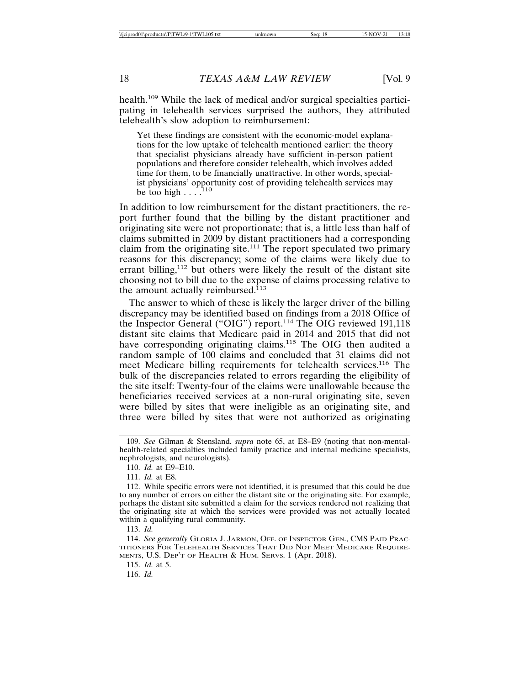health.109 While the lack of medical and/or surgical specialties participating in telehealth services surprised the authors, they attributed telehealth's slow adoption to reimbursement:

Yet these findings are consistent with the economic-model explanations for the low uptake of telehealth mentioned earlier: the theory that specialist physicians already have sufficient in-person patient populations and therefore consider telehealth, which involves added time for them, to be financially unattractive. In other words, specialist physicians' opportunity cost of providing telehealth services may be too high  $\ldots$ <sup>110</sup>

In addition to low reimbursement for the distant practitioners, the report further found that the billing by the distant practitioner and originating site were not proportionate; that is, a little less than half of claims submitted in 2009 by distant practitioners had a corresponding claim from the originating site.<sup>111</sup> The report speculated two primary reasons for this discrepancy; some of the claims were likely due to errant billing,<sup>112</sup> but others were likely the result of the distant site choosing not to bill due to the expense of claims processing relative to the amount actually reimbursed. $113$ 

The answer to which of these is likely the larger driver of the billing discrepancy may be identified based on findings from a 2018 Office of the Inspector General ("OIG") report.<sup>114</sup> The OIG reviewed 191,118 distant site claims that Medicare paid in 2014 and 2015 that did not have corresponding originating claims.<sup>115</sup> The OIG then audited a random sample of 100 claims and concluded that 31 claims did not meet Medicare billing requirements for telehealth services.<sup>116</sup> The bulk of the discrepancies related to errors regarding the eligibility of the site itself: Twenty-four of the claims were unallowable because the beneficiaries received services at a non-rural originating site, seven were billed by sites that were ineligible as an originating site, and three were billed by sites that were not authorized as originating

113. *Id.*

114. *See generally* GLORIA J. JARMON, OFF. OF INSPECTOR GEN., CMS PAID PRAC-TITIONERS FOR TELEHEALTH SERVICES THAT DID NOT MEET MEDICARE REQUIRE-MENTS, U.S. DEP'T OF HEALTH & HUM. SERVS. 1 (Apr. 2018).

115. *Id.* at 5.

116. *Id.*

<sup>109.</sup> *See* Gilman & Stensland, *supra* note 65, at E8–E9 (noting that non-mentalhealth-related specialties included family practice and internal medicine specialists, nephrologists, and neurologists).

<sup>110.</sup> *Id.* at E9–E10.

<sup>111.</sup> *Id.* at E8.

<sup>112.</sup> While specific errors were not identified, it is presumed that this could be due to any number of errors on either the distant site or the originating site. For example, perhaps the distant site submitted a claim for the services rendered not realizing that the originating site at which the services were provided was not actually located within a qualifying rural community.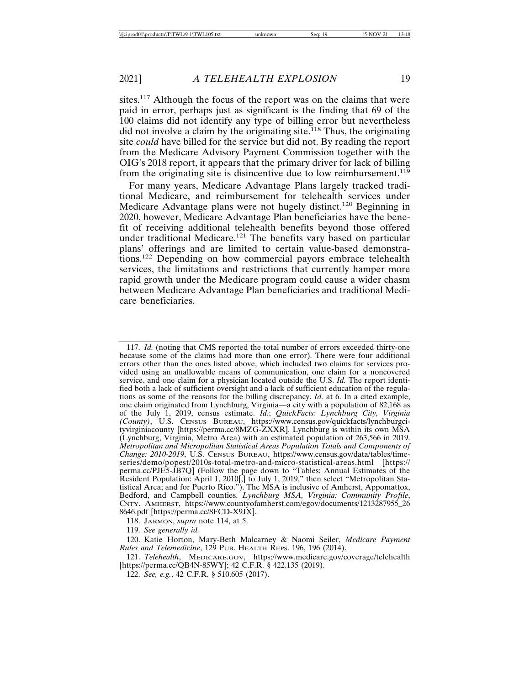sites.117 Although the focus of the report was on the claims that were paid in error, perhaps just as significant is the finding that 69 of the 100 claims did not identify any type of billing error but nevertheless did not involve a claim by the originating site.<sup>118</sup> Thus, the originating site *could* have billed for the service but did not. By reading the report from the Medicare Advisory Payment Commission together with the OIG's 2018 report, it appears that the primary driver for lack of billing from the originating site is disincentive due to low reimbursement.<sup>119</sup>

For many years, Medicare Advantage Plans largely tracked traditional Medicare, and reimbursement for telehealth services under Medicare Advantage plans were not hugely distinct.120 Beginning in 2020, however, Medicare Advantage Plan beneficiaries have the benefit of receiving additional telehealth benefits beyond those offered under traditional Medicare.<sup>121</sup> The benefits vary based on particular plans' offerings and are limited to certain value-based demonstrations.122 Depending on how commercial payors embrace telehealth services, the limitations and restrictions that currently hamper more rapid growth under the Medicare program could cause a wider chasm between Medicare Advantage Plan beneficiaries and traditional Medicare beneficiaries.

117. *Id.* (noting that CMS reported the total number of errors exceeded thirty-one because some of the claims had more than one error). There were four additional errors other than the ones listed above, which included two claims for services provided using an unallowable means of communication, one claim for a noncovered service, and one claim for a physician located outside the U.S. *Id.* The report identified both a lack of sufficient oversight and a lack of sufficient education of the regulations as some of the reasons for the billing discrepancy. *Id.* at 6. In a cited example, one claim originated from Lynchburg, Virginia—a city with a population of 82,168 as of the July 1, 2019, census estimate. *Id.*; *QuickFacts: Lynchburg City, Virginia (County)*, U.S. CENSUS BUREAU, https://www.census.gov/quickfacts/lynchburgcityvirginiacounty [https://perma.cc/8MZG-ZXXR]. Lynchburg is within its own MSA (Lynchburg, Virginia, Metro Area) with an estimated population of 263,566 in 2019. *Metropolitan and Micropolitan Statistical Areas Population Totals and Components of Change: 2010-2019*, U.S. CENSUS BUREAU, https://www.census.gov/data/tables/timeseries/demo/popest/2010s-total-metro-and-micro-statistical-areas.html [https:// perma.cc/PJE5-JB7Q] (Follow the page down to "Tables: Annual Estimates of the Resident Population: April 1, 2010[,] to July 1, 2019," then select "Metropolitan Statistical Area; and for Puerto Rico."). The MSA is inclusive of Amherst, Appomattox, Bedford, and Campbell counties. *Lynchburg MSA, Virginia: Community Profile*, CNTY. AMHERST, https://www.countyofamherst.com/egov/documents/1213287955\_26 8646.pdf [https://perma.cc/8FCD-X9JX].

118. JARMON, *supra* note 114, at 5.

119. *See generally id.*

120. Katie Horton, Mary-Beth Malcarney & Naomi Seiler, *Medicare Payment Rules and Telemedicine*, 129 PUB. HEALTH REPS. 196, 196 (2014).

121. *Telehealth*, MEDICARE.GOV, https://www.medicare.gov/coverage/telehealth [https://perma.cc/QB4N-85WY]; 42 C.F.R. § 422.135 (2019).

122. *See, e.g.*, 42 C.F.R. § 510.605 (2017).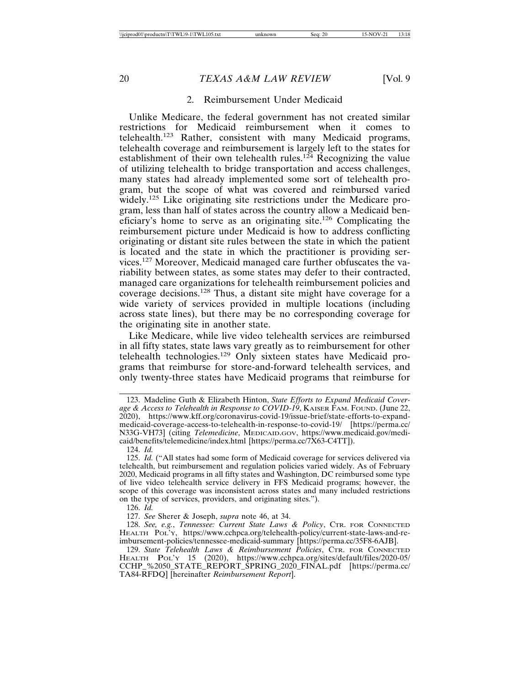#### 2. Reimbursement Under Medicaid

Unlike Medicare, the federal government has not created similar restrictions for Medicaid reimbursement when it comes to telehealth.123 Rather, consistent with many Medicaid programs, telehealth coverage and reimbursement is largely left to the states for establishment of their own telehealth rules.<sup>124</sup> Recognizing the value of utilizing telehealth to bridge transportation and access challenges, many states had already implemented some sort of telehealth program, but the scope of what was covered and reimbursed varied widely.<sup>125</sup> Like originating site restrictions under the Medicare program, less than half of states across the country allow a Medicaid beneficiary's home to serve as an originating site.126 Complicating the reimbursement picture under Medicaid is how to address conflicting originating or distant site rules between the state in which the patient is located and the state in which the practitioner is providing services.127 Moreover, Medicaid managed care further obfuscates the variability between states, as some states may defer to their contracted, managed care organizations for telehealth reimbursement policies and coverage decisions.128 Thus, a distant site might have coverage for a wide variety of services provided in multiple locations (including across state lines), but there may be no corresponding coverage for the originating site in another state.

Like Medicare, while live video telehealth services are reimbursed in all fifty states, state laws vary greatly as to reimbursement for other telehealth technologies.129 Only sixteen states have Medicaid programs that reimburse for store-and-forward telehealth services, and only twenty-three states have Medicaid programs that reimburse for

124. *Id.*

125. *Id.* ("All states had some form of Medicaid coverage for services delivered via telehealth, but reimbursement and regulation policies varied widely. As of February 2020, Medicaid programs in all fifty states and Washington, DC reimbursed some type of live video telehealth service delivery in FFS Medicaid programs; however, the scope of this coverage was inconsistent across states and many included restrictions on the type of services, providers, and originating sites.").

126. *Id.*

127. *See* Sherer & Joseph, *supra* note 46, at 34.

128. *See, e.g.*, *Tennessee: Current State Laws & Policy*, CTR. FOR CONNECTED HEALTH POL'Y, https://www.cchpca.org/telehealth-policy/current-state-laws-and-reimbursement-policies/tennessee-medicaid-summary [https://perma.cc/35F8-6AJB].

129. *State Telehealth Laws & Reimbursement Policies*, CTR. FOR CONNECTED HEALTH POL'Y 15 (2020), https://www.cchpca.org/sites/default/files/2020-05/ CCHP\_%2050\_STATE\_REPORT\_SPRING\_2020\_FINAL.pdf [https://perma.cc/ TA84-RFDQ] [hereinafter *Reimbursement Report*].

<sup>123.</sup> Madeline Guth & Elizabeth Hinton, *State Efforts to Expand Medicaid Coverage & Access to Telehealth in Response to COVID-19*, KAISER FAM. FOUND. (June 22, 2020), https://www.kff.org/coronavirus-covid-19/issue-brief/state-efforts-to-expandmedicaid-coverage-access-to-telehealth-in-response-to-covid-19/ [https://perma.cc/ N33G-VH73] (citing *Telemedicine*, MEDICAID.GOV, https://www.medicaid.gov/medicaid/benefits/telemedicine/index.html [https://perma.cc/7X63-C4TT]).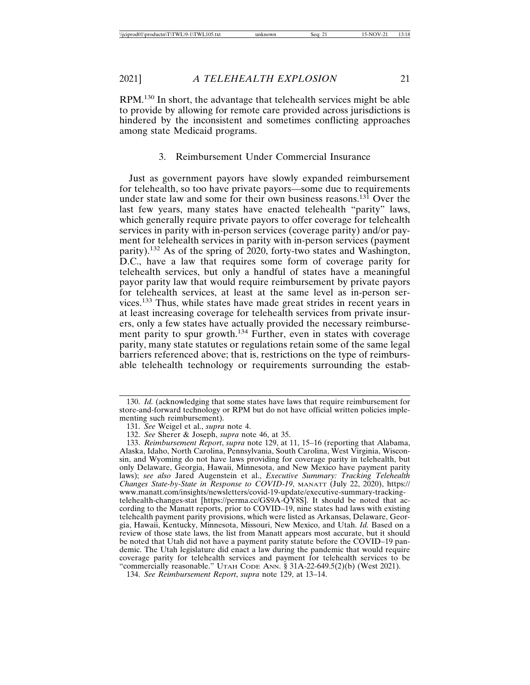RPM.130 In short, the advantage that telehealth services might be able to provide by allowing for remote care provided across jurisdictions is hindered by the inconsistent and sometimes conflicting approaches among state Medicaid programs.

#### 3. Reimbursement Under Commercial Insurance

Just as government payors have slowly expanded reimbursement for telehealth, so too have private payors—some due to requirements under state law and some for their own business reasons.<sup>131</sup> Over the last few years, many states have enacted telehealth "parity" laws, which generally require private payors to offer coverage for telehealth services in parity with in-person services (coverage parity) and/or payment for telehealth services in parity with in-person services (payment parity).132 As of the spring of 2020, forty-two states and Washington, D.C., have a law that requires some form of coverage parity for telehealth services, but only a handful of states have a meaningful payor parity law that would require reimbursement by private payors for telehealth services, at least at the same level as in-person services.133 Thus, while states have made great strides in recent years in at least increasing coverage for telehealth services from private insurers, only a few states have actually provided the necessary reimbursement parity to spur growth.<sup>134</sup> Further, even in states with coverage parity, many state statutes or regulations retain some of the same legal barriers referenced above; that is, restrictions on the type of reimbursable telehealth technology or requirements surrounding the estab-

<sup>130.</sup> *Id.* (acknowledging that some states have laws that require reimbursement for store-and-forward technology or RPM but do not have official written policies implementing such reimbursement).

<sup>131.</sup> *See* Weigel et al., *supra* note 4.

<sup>132.</sup> *See* Sherer & Joseph, *supra* note 46, at 35.

<sup>133.</sup> *Reimbursement Report*, *supra* note 129, at 11, 15–16 (reporting that Alabama, Alaska, Idaho, North Carolina, Pennsylvania, South Carolina, West Virginia, Wisconsin, and Wyoming do not have laws providing for coverage parity in telehealth, but only Delaware, Georgia, Hawaii, Minnesota, and New Mexico have payment parity laws); *see also* Jared Augenstein et al., *Executive Summary: Tracking Telehealth Changes State-by-State in Response to COVID-19*, MANATT (July 22, 2020), https:// www.manatt.com/insights/newsletters/covid-19-update/executive-summary-trackingtelehealth-changes-stat [https://perma.cc/GS9A-QY8S]. It should be noted that according to the Manatt reports, prior to COVID–19, nine states had laws with existing telehealth payment parity provisions, which were listed as Arkansas, Delaware, Georgia, Hawaii, Kentucky, Minnesota, Missouri, New Mexico, and Utah. *Id.* Based on a review of those state laws, the list from Manatt appears most accurate, but it should be noted that Utah did not have a payment parity statute before the COVID–19 pandemic. The Utah legislature did enact a law during the pandemic that would require coverage parity for telehealth services and payment for telehealth services to be "commercially reasonable." UTAH CODE ANN. § 31A-22-649.5(2)(b) (West 2021).

<sup>134.</sup> *See Reimbursement Report*, *supra* note 129, at 13–14.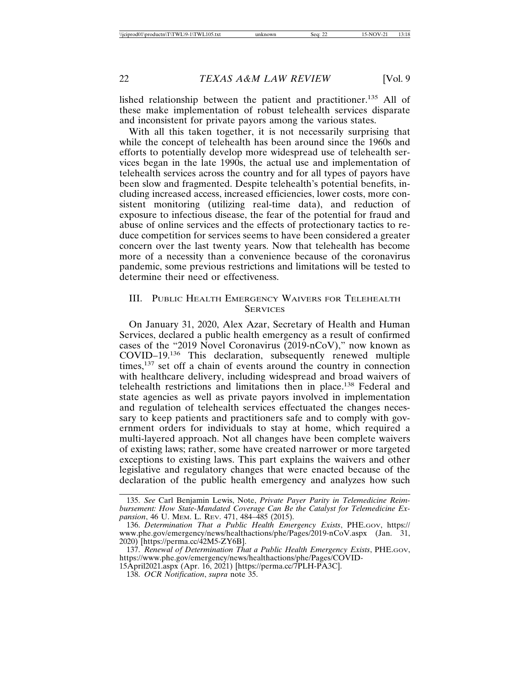lished relationship between the patient and practitioner.135 All of these make implementation of robust telehealth services disparate and inconsistent for private payors among the various states.

With all this taken together, it is not necessarily surprising that while the concept of telehealth has been around since the 1960s and efforts to potentially develop more widespread use of telehealth services began in the late 1990s, the actual use and implementation of telehealth services across the country and for all types of payors have been slow and fragmented. Despite telehealth's potential benefits, including increased access, increased efficiencies, lower costs, more consistent monitoring (utilizing real-time data), and reduction of exposure to infectious disease, the fear of the potential for fraud and abuse of online services and the effects of protectionary tactics to reduce competition for services seems to have been considered a greater concern over the last twenty years. Now that telehealth has become more of a necessity than a convenience because of the coronavirus pandemic, some previous restrictions and limitations will be tested to determine their need or effectiveness.

### III. PUBLIC HEALTH EMERGENCY WAIVERS FOR TELEHEALTH **SERVICES**

On January 31, 2020, Alex Azar, Secretary of Health and Human Services, declared a public health emergency as a result of confirmed cases of the "2019 Novel Coronavirus (2019-nCoV)," now known as COVID–19.136 This declaration, subsequently renewed multiple times,<sup>137</sup> set off a chain of events around the country in connection with healthcare delivery, including widespread and broad waivers of telehealth restrictions and limitations then in place.138 Federal and state agencies as well as private payors involved in implementation and regulation of telehealth services effectuated the changes necessary to keep patients and practitioners safe and to comply with government orders for individuals to stay at home, which required a multi-layered approach. Not all changes have been complete waivers of existing laws; rather, some have created narrower or more targeted exceptions to existing laws. This part explains the waivers and other legislative and regulatory changes that were enacted because of the declaration of the public health emergency and analyzes how such

15April2021.aspx (Apr. 16, 2021) [https://perma.cc/7PLH-PA3C].

<sup>135.</sup> *See* Carl Benjamin Lewis, Note, *Private Payer Parity in Telemedicine Reimbursement: How State-Mandated Coverage Can Be the Catalyst for Telemedicine Expansion*, 46 U. MEM. L. REV. 471, 484–485 (2015).

<sup>136.</sup> *Determination That a Public Health Emergency Exists*, PHE.GOV, https:// www.phe.gov/emergency/news/healthactions/phe/Pages/2019-nCoV.aspx (Jan. 31, 2020) [https://perma.cc/42M5-ZY6B].

<sup>137.</sup> *Renewal of Determination That a Public Health Emergency Exists*, PHE.GOV, https://www.phe.gov/emergency/news/healthactions/phe/Pages/COVID-

<sup>138.</sup> *OCR Notification*, *supra* note 35.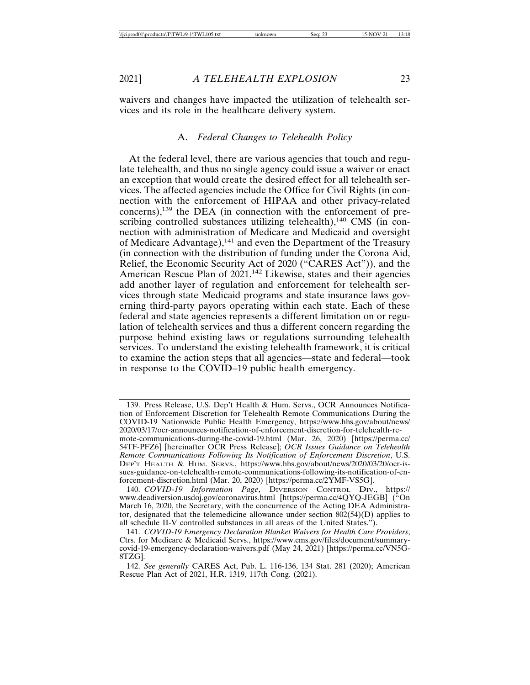waivers and changes have impacted the utilization of telehealth services and its role in the healthcare delivery system.

#### A. *Federal Changes to Telehealth Policy*

At the federal level, there are various agencies that touch and regulate telehealth, and thus no single agency could issue a waiver or enact an exception that would create the desired effect for all telehealth services. The affected agencies include the Office for Civil Rights (in connection with the enforcement of HIPAA and other privacy-related concerns),<sup>139</sup> the DEA (in connection with the enforcement of prescribing controlled substances utilizing telehealth), $140$  CMS (in connection with administration of Medicare and Medicaid and oversight of Medicare Advantage),<sup>141</sup> and even the Department of the Treasury (in connection with the distribution of funding under the Corona Aid, Relief, the Economic Security Act of 2020 ("CARES Act")), and the American Rescue Plan of 2021.<sup>142</sup> Likewise, states and their agencies add another layer of regulation and enforcement for telehealth services through state Medicaid programs and state insurance laws governing third-party payors operating within each state. Each of these federal and state agencies represents a different limitation on or regulation of telehealth services and thus a different concern regarding the purpose behind existing laws or regulations surrounding telehealth services. To understand the existing telehealth framework, it is critical to examine the action steps that all agencies—state and federal—took in response to the COVID–19 public health emergency.

<sup>139.</sup> Press Release, U.S. Dep't Health & Hum. Servs., OCR Announces Notification of Enforcement Discretion for Telehealth Remote Communications During the COVID-19 Nationwide Public Health Emergency, https://www.hhs.gov/about/news/ 2020/03/17/ocr-announces-notification-of-enforcement-discretion-for-telehealth-remote-communications-during-the-covid-19.html (Mar. 26, 2020) [https://perma.cc/

<sup>54</sup>TF-PFZ6] [hereinafter OCR Press Release]; *OCR Issues Guidance on Telehealth Remote Communications Following Its Notification of Enforcement Discretion*, U.S. DEP'T HEALTH & HUM. SERVS., https://www.hhs.gov/about/news/2020/03/20/ocr-issues-guidance-on-telehealth-remote-communications-following-its-notification-of-enforcement-discretion.html (Mar. 20, 2020) [https://perma.cc/2YMF-VS5G].

<sup>140.</sup> *COVID-19 Information Page*, DIVERSION CONTROL DIV., https:// www.deadiversion.usdoj.gov/coronavirus.html [https://perma.cc/4QYQ-JEGB] ("On March 16, 2020, the Secretary, with the concurrence of the Acting DEA Administrator, designated that the telemedicine allowance under section  $802(54)(D)$  applies to all schedule II-V controlled substances in all areas of the United States.").

<sup>141.</sup> *COVID-19 Emergency Declaration Blanket Waivers for Health Care Providers*, Ctrs. for Medicare & Medicaid Servs., https://www.cms.gov/files/document/summarycovid-19-emergency-declaration-waivers.pdf (May 24, 2021) [https://perma.cc/VN5G-8TZG].

<sup>142.</sup> *See generally* CARES Act, Pub. L. 116-136, 134 Stat. 281 (2020); American Rescue Plan Act of 2021, H.R. 1319, 117th Cong. (2021).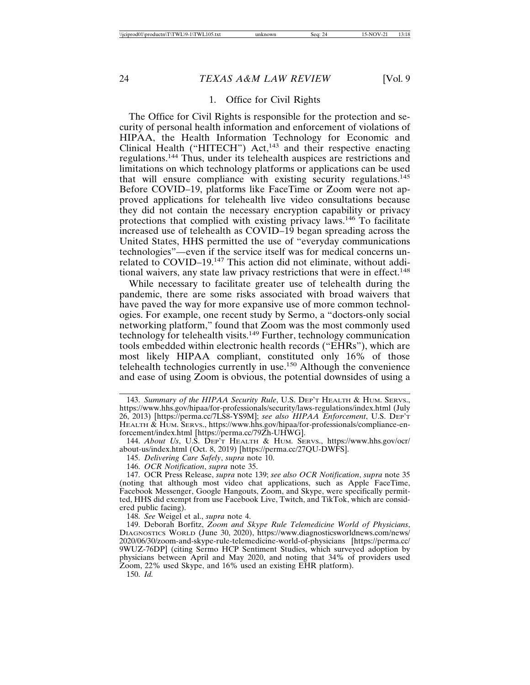#### 1. Office for Civil Rights

The Office for Civil Rights is responsible for the protection and security of personal health information and enforcement of violations of HIPAA, the Health Information Technology for Economic and Clinical Health ("HITECH") Act, $143$  and their respective enacting regulations.144 Thus, under its telehealth auspices are restrictions and limitations on which technology platforms or applications can be used that will ensure compliance with existing security regulations.<sup>145</sup> Before COVID–19, platforms like FaceTime or Zoom were not approved applications for telehealth live video consultations because they did not contain the necessary encryption capability or privacy protections that complied with existing privacy laws.146 To facilitate increased use of telehealth as COVID–19 began spreading across the United States, HHS permitted the use of "everyday communications technologies"—even if the service itself was for medical concerns unrelated to COVID–19.<sup>147</sup> This action did not eliminate, without additional waivers, any state law privacy restrictions that were in effect.<sup>148</sup>

While necessary to facilitate greater use of telehealth during the pandemic, there are some risks associated with broad waivers that have paved the way for more expansive use of more common technologies. For example, one recent study by Sermo, a "doctors-only social networking platform," found that Zoom was the most commonly used technology for telehealth visits.<sup>149</sup> Further, technology communication tools embedded within electronic health records ("EHRs"), which are most likely HIPAA compliant, constituted only 16% of those telehealth technologies currently in use.150 Although the convenience and ease of using Zoom is obvious, the potential downsides of using a

148. *See* Weigel et al., *supra* note 4.

150. *Id.*

<sup>143.</sup> *Summary of the HIPAA Security Rule*, U.S. DEP'T HEALTH & HUM. SERVS., https://www.hhs.gov/hipaa/for-professionals/security/laws-regulations/index.html (July 26, 2013) [https://perma.cc/7LS8-YS9M]; *see also HIPAA Enforcement*, U.S. DEP'T HEALTH & HUM. SERVS., https://www.hhs.gov/hipaa/for-professionals/compliance-enforcement/index.html [https://perma.cc/79Zh-UHWG].

<sup>144.</sup> *About Us*, U.S. DEP'T HEALTH & HUM. SERVS., https://www.hhs.gov/ocr/ about-us/index.html (Oct. 8, 2019) [https://perma.cc/27QU-DWFS].

<sup>145.</sup> *Delivering Care Safely*, *supra* note 10.

<sup>146.</sup> *OCR Notification*, *supra* note 35.

<sup>147.</sup> OCR Press Release, *supra* note 139; *see also OCR Notification*, *supra* note 35 (noting that although most video chat applications, such as Apple FaceTime, Facebook Messenger, Google Hangouts, Zoom, and Skype, were specifically permitted, HHS did exempt from use Facebook Live, Twitch, and TikTok, which are considered public facing).

<sup>149.</sup> Deborah Borfitz, *Zoom and Skype Rule Telemedicine World of Physicians*, DIAGNOSTICS WORLD (June 30, 2020), https://www.diagnosticsworldnews.com/news/ 2020/06/30/zoom-and-skype-rule-telemedicine-world-of-physicians [https://perma.cc/ 9WUZ-76DP] (citing Sermo HCP Sentiment Studies, which surveyed adoption by physicians between April and May 2020, and noting that 34% of providers used Zoom, 22% used Skype, and 16% used an existing EHR platform).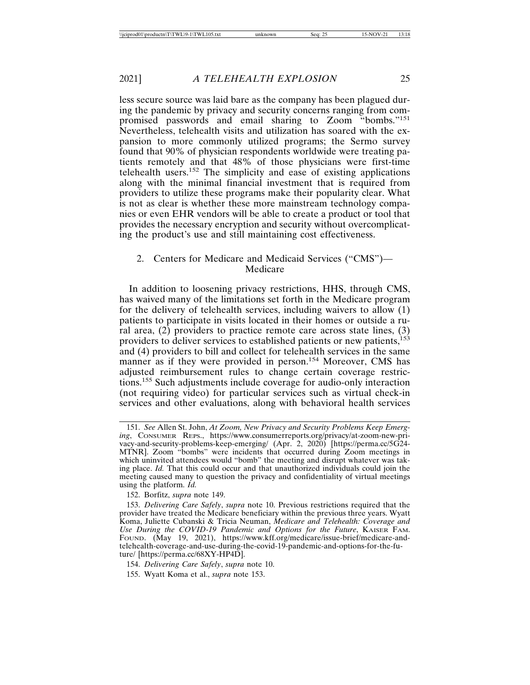less secure source was laid bare as the company has been plagued during the pandemic by privacy and security concerns ranging from compromised passwords and email sharing to Zoom "bombs."<sup>151</sup> Nevertheless, telehealth visits and utilization has soared with the expansion to more commonly utilized programs; the Sermo survey found that 90% of physician respondents worldwide were treating patients remotely and that 48% of those physicians were first-time telehealth users.<sup>152</sup> The simplicity and ease of existing applications along with the minimal financial investment that is required from providers to utilize these programs make their popularity clear. What is not as clear is whether these more mainstream technology companies or even EHR vendors will be able to create a product or tool that provides the necessary encryption and security without overcomplicating the product's use and still maintaining cost effectiveness.

#### 2. Centers for Medicare and Medicaid Services ("CMS")— Medicare

In addition to loosening privacy restrictions, HHS, through CMS, has waived many of the limitations set forth in the Medicare program for the delivery of telehealth services, including waivers to allow (1) patients to participate in visits located in their homes or outside a rural area, (2) providers to practice remote care across state lines, (3) providers to deliver services to established patients or new patients,<sup>153</sup> and (4) providers to bill and collect for telehealth services in the same manner as if they were provided in person.<sup>154</sup> Moreover, CMS has adjusted reimbursement rules to change certain coverage restrictions.155 Such adjustments include coverage for audio-only interaction (not requiring video) for particular services such as virtual check-in services and other evaluations, along with behavioral health services

152. Borfitz, *supra* note 149.

<sup>151.</sup> *See* Allen St. John, *At Zoom, New Privacy and Security Problems Keep Emerging*, CONSUMER REPS., https://www.consumerreports.org/privacy/at-zoom-new-privacy-and-security-problems-keep-emerging/ (Apr. 2, 2020) [https://perma.cc/5G24- MTNR]. Zoom "bombs" were incidents that occurred during Zoom meetings in which uninvited attendees would "bomb" the meeting and disrupt whatever was taking place. *Id.* That this could occur and that unauthorized individuals could join the meeting caused many to question the privacy and confidentiality of virtual meetings using the platform. *Id.*

<sup>153.</sup> *Delivering Care Safely*, *supra* note 10. Previous restrictions required that the provider have treated the Medicare beneficiary within the previous three years. Wyatt Koma, Juliette Cubanski & Tricia Neuman, *Medicare and Telehealth: Coverage and Use During the COVID-19 Pandemic and Options for the Future*, KAISER FAM. FOUND. (May 19, 2021), https://www.kff.org/medicare/issue-brief/medicare-andtelehealth-coverage-and-use-during-the-covid-19-pandemic-and-options-for-the-future/ [https://perma.cc/68XY-HP4D].

<sup>154.</sup> *Delivering Care Safely*, *supra* note 10.

<sup>155.</sup> Wyatt Koma et al., *supra* note 153.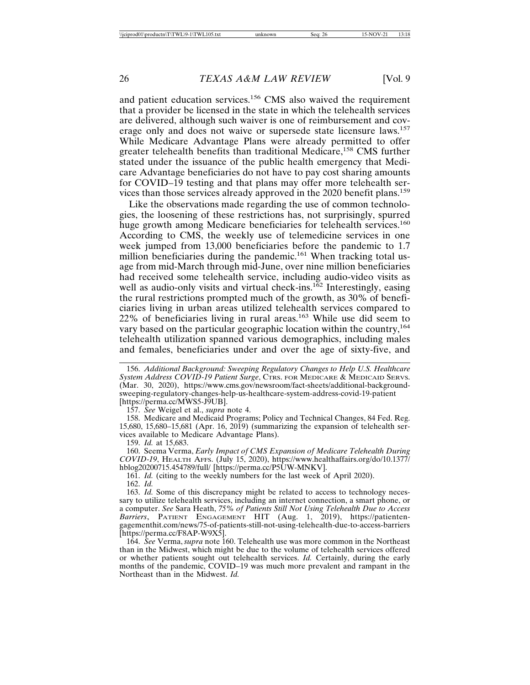and patient education services.156 CMS also waived the requirement that a provider be licensed in the state in which the telehealth services are delivered, although such waiver is one of reimbursement and coverage only and does not waive or supersede state licensure laws.<sup>157</sup> While Medicare Advantage Plans were already permitted to offer greater telehealth benefits than traditional Medicare,<sup>158</sup> CMS further stated under the issuance of the public health emergency that Medicare Advantage beneficiaries do not have to pay cost sharing amounts for COVID–19 testing and that plans may offer more telehealth services than those services already approved in the 2020 benefit plans.<sup>159</sup>

Like the observations made regarding the use of common technologies, the loosening of these restrictions has, not surprisingly, spurred huge growth among Medicare beneficiaries for telehealth services.<sup>160</sup> According to CMS, the weekly use of telemedicine services in one week jumped from 13,000 beneficiaries before the pandemic to 1.7 million beneficiaries during the pandemic.<sup>161</sup> When tracking total usage from mid-March through mid-June, over nine million beneficiaries had received some telehealth service, including audio-video visits as well as audio-only visits and virtual check-ins.<sup>162</sup> Interestingly, easing the rural restrictions prompted much of the growth, as 30% of beneficiaries living in urban areas utilized telehealth services compared to  $22\%$  of beneficiaries living in rural areas.<sup>163</sup> While use did seem to vary based on the particular geographic location within the country,<sup>164</sup> telehealth utilization spanned various demographics, including males and females, beneficiaries under and over the age of sixty-five, and

156. *Additional Background: Sweeping Regulatory Changes to Help U.S. Healthcare System Address COVID-19 Patient Surge*, CTRS. FOR MEDICARE & MEDICAID SERVS. (Mar. 30, 2020), https://www.cms.gov/newsroom/fact-sheets/additional-backgroundsweeping-regulatory-changes-help-us-healthcare-system-address-covid-19-patient [https://perma.cc/MWS5-J9UB].

157. *See* Weigel et al., *supra* note 4.

158. Medicare and Medicaid Programs; Policy and Technical Changes, 84 Fed. Reg. 15,680, 15,680–15,681 (Apr. 16, 2019) (summarizing the expansion of telehealth services available to Medicare Advantage Plans).

159. *Id.* at 15,683.

160. Seema Verma, *Early Impact of CMS Expansion of Medicare Telehealth During COVID-19*, HEALTH AFFS. (July 15, 2020), https://www.healthaffairs.org/do/10.1377/ hblog20200715.454789/full/ [https://perma.cc/P5UW-MNKV].

161. *Id.* (citing to the weekly numbers for the last week of April 2020).

162. *Id.*

163. *Id.* Some of this discrepancy might be related to access to technology necessary to utilize telehealth services, including an internet connection, a smart phone, or a computer. *See* Sara Heath, *75% of Patients Still Not Using Telehealth Due to Access Barriers*, PATIENT ENGAGEMENT HIT (Aug. 1, 2019), https://patientengagementhit.com/news/75-of-patients-still-not-using-telehealth-due-to-access-barriers [https://perma.cc/F8AP-W9X5].

164. *See* Verma, *supra* note 160. Telehealth use was more common in the Northeast than in the Midwest, which might be due to the volume of telehealth services offered or whether patients sought out telehealth services. *Id.* Certainly, during the early months of the pandemic, COVID–19 was much more prevalent and rampant in the Northeast than in the Midwest. *Id.*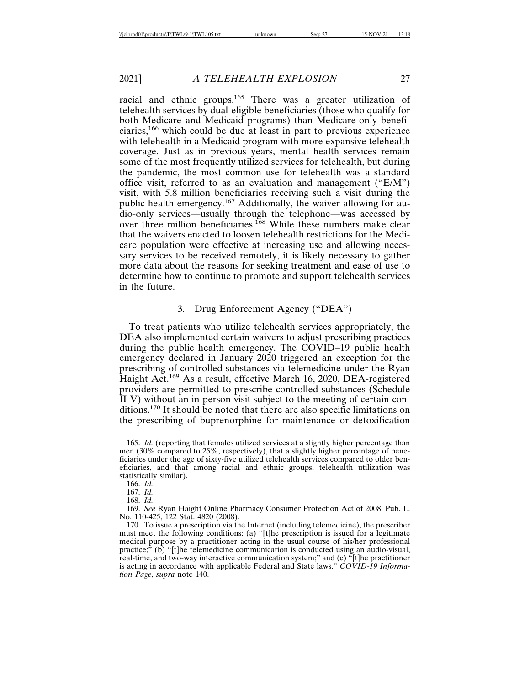racial and ethnic groups.165 There was a greater utilization of telehealth services by dual-eligible beneficiaries (those who qualify for both Medicare and Medicaid programs) than Medicare-only beneficiaries,166 which could be due at least in part to previous experience with telehealth in a Medicaid program with more expansive telehealth coverage. Just as in previous years, mental health services remain some of the most frequently utilized services for telehealth, but during the pandemic, the most common use for telehealth was a standard office visit, referred to as an evaluation and management ("E/M") visit, with 5.8 million beneficiaries receiving such a visit during the public health emergency.<sup>167</sup> Additionally, the waiver allowing for audio-only services—usually through the telephone—was accessed by over three million beneficiaries.<sup>168</sup> While these numbers make clear that the waivers enacted to loosen telehealth restrictions for the Medicare population were effective at increasing use and allowing necessary services to be received remotely, it is likely necessary to gather more data about the reasons for seeking treatment and ease of use to determine how to continue to promote and support telehealth services in the future.

# 3. Drug Enforcement Agency ("DEA")

To treat patients who utilize telehealth services appropriately, the DEA also implemented certain waivers to adjust prescribing practices during the public health emergency. The COVID–19 public health emergency declared in January 2020 triggered an exception for the prescribing of controlled substances via telemedicine under the Ryan Haight Act.169 As a result, effective March 16, 2020, DEA-registered providers are permitted to prescribe controlled substances (Schedule II-V) without an in-person visit subject to the meeting of certain conditions.170 It should be noted that there are also specific limitations on the prescribing of buprenorphine for maintenance or detoxification

<sup>165.</sup> *Id.* (reporting that females utilized services at a slightly higher percentage than men (30% compared to 25%, respectively), that a slightly higher percentage of beneficiaries under the age of sixty-five utilized telehealth services compared to older beneficiaries, and that among racial and ethnic groups, telehealth utilization was statistically similar).

<sup>166.</sup> *Id.*

<sup>167.</sup> *Id.*

<sup>168.</sup> *Id.*

<sup>169.</sup> *See* Ryan Haight Online Pharmacy Consumer Protection Act of 2008, Pub. L. No. 110-425, 122 Stat. 4820 (2008).

<sup>170.</sup> To issue a prescription via the Internet (including telemedicine), the prescriber must meet the following conditions: (a) "[t]he prescription is issued for a legitimate medical purpose by a practitioner acting in the usual course of his/her professional practice;" (b) "[t]he telemedicine communication is conducted using an audio-visual, real-time, and two-way interactive communication system;" and (c) "[t]he practitioner is acting in accordance with applicable Federal and State laws." *COVID-19 Information Page*, *supra* note 140.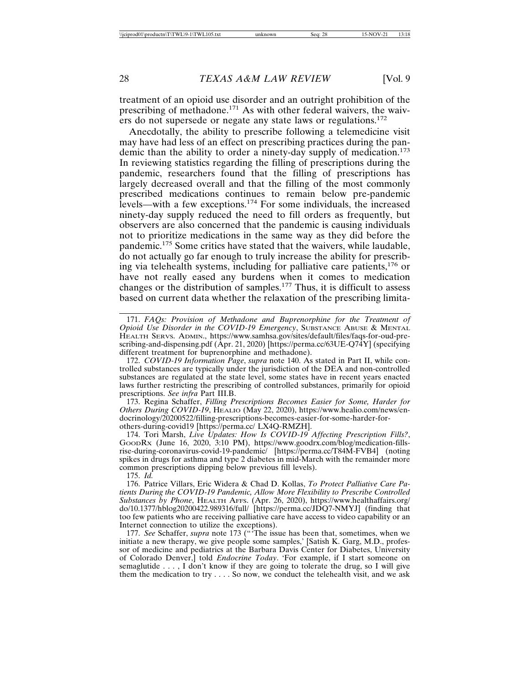treatment of an opioid use disorder and an outright prohibition of the prescribing of methadone.<sup>171</sup> As with other federal waivers, the waivers do not supersede or negate any state laws or regulations.<sup>172</sup>

Anecdotally, the ability to prescribe following a telemedicine visit may have had less of an effect on prescribing practices during the pandemic than the ability to order a ninety-day supply of medication.<sup>173</sup> In reviewing statistics regarding the filling of prescriptions during the pandemic, researchers found that the filling of prescriptions has largely decreased overall and that the filling of the most commonly prescribed medications continues to remain below pre-pandemic levels—with a few exceptions.174 For some individuals, the increased ninety-day supply reduced the need to fill orders as frequently, but observers are also concerned that the pandemic is causing individuals not to prioritize medications in the same way as they did before the pandemic.175 Some critics have stated that the waivers, while laudable, do not actually go far enough to truly increase the ability for prescribing via telehealth systems, including for palliative care patients, $176$  or have not really eased any burdens when it comes to medication changes or the distribution of samples.177 Thus, it is difficult to assess based on current data whether the relaxation of the prescribing limita-

172. *COVID-19 Information Page*, *supra* note 140. As stated in Part II, while controlled substances are typically under the jurisdiction of the DEA and non-controlled substances are regulated at the state level, some states have in recent years enacted laws further restricting the prescribing of controlled substances, primarily for opioid prescriptions. *See infra* Part III.B.

173. Regina Schaffer, *Filling Prescriptions Becomes Easier for Some, Harder for Others During COVID-19*, HEALIO (May 22, 2020), https://www.healio.com/news/endocrinology/20200522/filling-prescriptions-becomes-easier-for-some-harder-forothers-during-covid19 [https://perma.cc/ LX4Q-RMZH].

174. Tori Marsh, *Live Updates: How Is COVID-19 Affecting Prescription Fills?*, GOODRX (June 16, 2020, 3:10 PM), https://www.goodrx.com/blog/medication-fillsrise-during-coronavirus-covid-19-pandemic/ [https://perma.cc/T84M-FVB4] (noting spikes in drugs for asthma and type 2 diabetes in mid-March with the remainder more common prescriptions dipping below previous fill levels).

175. *Id.*

176. Patrice Villars, Eric Widera & Chad D. Kollas, *To Protect Palliative Care Patients During the COVID-19 Pandemic, Allow More Flexibility to Prescribe Controlled Substances by Phone*, HEALTH AFFS. (Apr. 26, 2020), https://www.healthaffairs.org/ do/10.1377/hblog20200422.989316/full/ [https://perma.cc/JDQ7-NMYJ] (finding that too few patients who are receiving palliative care have access to video capability or an Internet connection to utilize the exceptions).

177. *See* Schaffer, *supra* note 173 ("'The issue has been that, sometimes, when we initiate a new therapy, we give people some samples,' [Satish K. Garg, M.D., professor of medicine and pediatrics at the Barbara Davis Center for Diabetes, University of Colorado Denver,] told *Endocrine Today*. 'For example, if I start someone on semaglutide  $\dots$ , I don't know if they are going to tolerate the drug, so I will give them the medication to try . . . . So now, we conduct the telehealth visit, and we ask

<sup>171.</sup> *FAQs: Provision of Methadone and Buprenorphine for the Treatment of Opioid Use Disorder in the COVID-19 Emergency*, SUBSTANCE ABUSE & MENTAL HEALTH SERVS. ADMIN., https://www.samhsa.gov/sites/default/files/faqs-for-oud-prescribing-and-dispensing.pdf (Apr. 21, 2020) [https://perma.cc/63UE-Q74Y] (specifying different treatment for buprenorphine and methadone).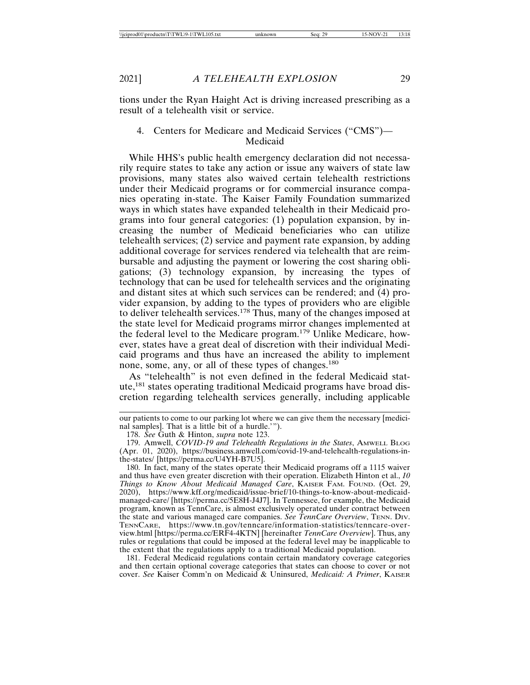tions under the Ryan Haight Act is driving increased prescribing as a result of a telehealth visit or service.

# 4. Centers for Medicare and Medicaid Services ("CMS")— Medicaid

While HHS's public health emergency declaration did not necessarily require states to take any action or issue any waivers of state law provisions, many states also waived certain telehealth restrictions under their Medicaid programs or for commercial insurance companies operating in-state. The Kaiser Family Foundation summarized ways in which states have expanded telehealth in their Medicaid programs into four general categories: (1) population expansion, by increasing the number of Medicaid beneficiaries who can utilize telehealth services; (2) service and payment rate expansion, by adding additional coverage for services rendered via telehealth that are reimbursable and adjusting the payment or lowering the cost sharing obligations; (3) technology expansion, by increasing the types of technology that can be used for telehealth services and the originating and distant sites at which such services can be rendered; and  $(4)$  provider expansion, by adding to the types of providers who are eligible to deliver telehealth services.178 Thus, many of the changes imposed at the state level for Medicaid programs mirror changes implemented at the federal level to the Medicare program.179 Unlike Medicare, however, states have a great deal of discretion with their individual Medicaid programs and thus have an increased the ability to implement none, some, any, or all of these types of changes.<sup>180</sup>

As "telehealth" is not even defined in the federal Medicaid statute,181 states operating traditional Medicaid programs have broad discretion regarding telehealth services generally, including applicable

180. In fact, many of the states operate their Medicaid programs off a 1115 waiver and thus have even greater discretion with their operation. Elizabeth Hinton et al., *10 Things to Know About Medicaid Managed Care*, KAISER FAM. FOUND. (Oct. 29, 2020), https://www.kff.org/medicaid/issue-brief/10-things-to-know-about-medicaidmanaged-care/ [https://perma.cc/5E8H-J4J7]. In Tennessee, for example, the Medicaid program, known as TennCare, is almost exclusively operated under contract between the state and various managed care companies. *See TennCare Overview*, TENN. DIV. TENNCARE, https://www.tn.gov/tenncare/information-statistics/tenncare-overview.html [https://perma.cc/ERF4-4KTN] [hereinafter *TennCare Overview*]. Thus, any rules or regulations that could be imposed at the federal level may be inapplicable to the extent that the regulations apply to a traditional Medicaid population.

181. Federal Medicaid regulations contain certain mandatory coverage categories and then certain optional coverage categories that states can choose to cover or not cover. *See* Kaiser Comm'n on Medicaid & Uninsured, *Medicaid: A Primer*, KAISER

our patients to come to our parking lot where we can give them the necessary [medicinal samples]. That is a little bit of a hurdle.'").

<sup>178.</sup> *See* Guth & Hinton, *supra* note 123.

<sup>179.</sup> Amwell, *COVID-19 and Telehealth Regulations in the States*, AMWELL BLOG (Apr. 01, 2020), https://business.amwell.com/covid-19-and-telehealth-regulations-inthe-states/ [https://perma.cc/U4YH-B7U5].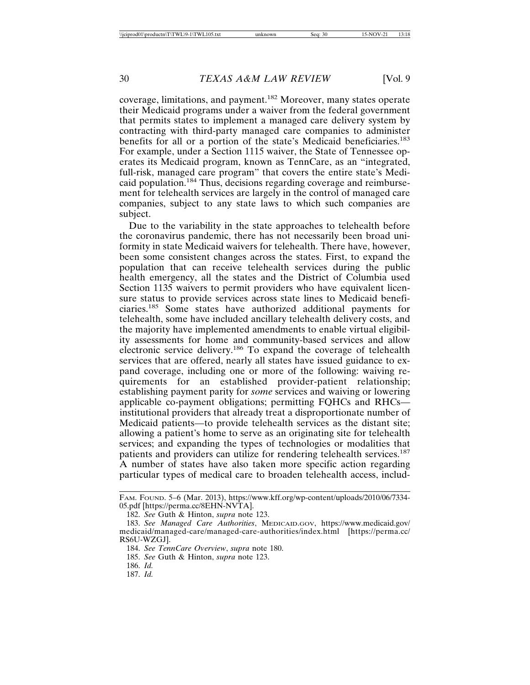coverage, limitations, and payment.182 Moreover, many states operate their Medicaid programs under a waiver from the federal government that permits states to implement a managed care delivery system by contracting with third-party managed care companies to administer benefits for all or a portion of the state's Medicaid beneficiaries.<sup>183</sup> For example, under a Section 1115 waiver, the State of Tennessee operates its Medicaid program, known as TennCare, as an "integrated, full-risk, managed care program" that covers the entire state's Medicaid population.184 Thus, decisions regarding coverage and reimbursement for telehealth services are largely in the control of managed care companies, subject to any state laws to which such companies are subject.

Due to the variability in the state approaches to telehealth before the coronavirus pandemic, there has not necessarily been broad uniformity in state Medicaid waivers for telehealth. There have, however, been some consistent changes across the states. First, to expand the population that can receive telehealth services during the public health emergency, all the states and the District of Columbia used Section 1135 waivers to permit providers who have equivalent licensure status to provide services across state lines to Medicaid beneficiaries.185 Some states have authorized additional payments for telehealth, some have included ancillary telehealth delivery costs, and the majority have implemented amendments to enable virtual eligibility assessments for home and community-based services and allow electronic service delivery.186 To expand the coverage of telehealth services that are offered, nearly all states have issued guidance to expand coverage, including one or more of the following: waiving requirements for an established provider-patient relationship; establishing payment parity for *some* services and waiving or lowering applicable co-payment obligations; permitting FQHCs and RHCs institutional providers that already treat a disproportionate number of Medicaid patients—to provide telehealth services as the distant site; allowing a patient's home to serve as an originating site for telehealth services; and expanding the types of technologies or modalities that patients and providers can utilize for rendering telehealth services.<sup>187</sup> A number of states have also taken more specific action regarding particular types of medical care to broaden telehealth access, includ-

- 185. *See* Guth & Hinton, *supra* note 123.
- 186. *Id.*
- 187. *Id.*

FAM. FOUND. 5–6 (Mar. 2013), https://www.kff.org/wp-content/uploads/2010/06/7334- 05.pdf [https://perma.cc/8EHN-NVTA].

<sup>182.</sup> *See* Guth & Hinton, *supra* note 123.

<sup>183.</sup> *See Managed Care Authorities*, MEDICAID.GOV, https://www.medicaid.gov/ medicaid/managed-care/managed-care-authorities/index.html [https://perma.cc/ RS6U-WZGJ].

<sup>184.</sup> *See TennCare Overview*, *supra* note 180.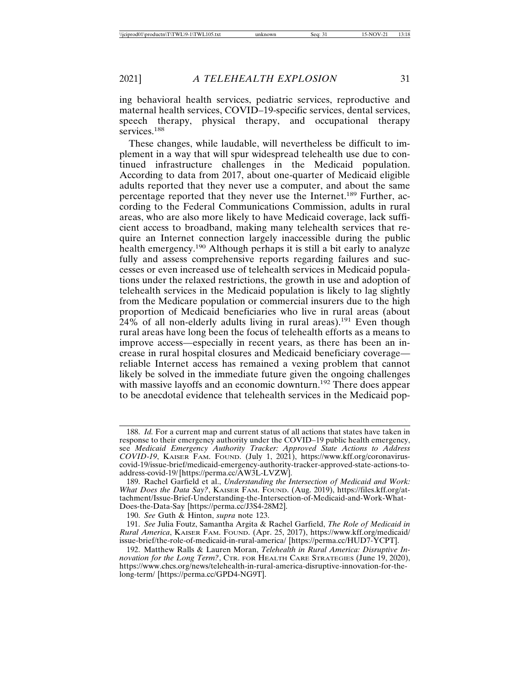ing behavioral health services, pediatric services, reproductive and maternal health services, COVID–19-specific services, dental services, speech therapy, physical therapy, and occupational therapy services.<sup>188</sup>

These changes, while laudable, will nevertheless be difficult to implement in a way that will spur widespread telehealth use due to continued infrastructure challenges in the Medicaid population. According to data from 2017, about one-quarter of Medicaid eligible adults reported that they never use a computer, and about the same percentage reported that they never use the Internet.189 Further, according to the Federal Communications Commission, adults in rural areas, who are also more likely to have Medicaid coverage, lack sufficient access to broadband, making many telehealth services that require an Internet connection largely inaccessible during the public health emergency.<sup>190</sup> Although perhaps it is still a bit early to analyze fully and assess comprehensive reports regarding failures and successes or even increased use of telehealth services in Medicaid populations under the relaxed restrictions, the growth in use and adoption of telehealth services in the Medicaid population is likely to lag slightly from the Medicare population or commercial insurers due to the high proportion of Medicaid beneficiaries who live in rural areas (about  $24\%$  of all non-elderly adults living in rural areas).<sup>191</sup> Even though rural areas have long been the focus of telehealth efforts as a means to improve access—especially in recent years, as there has been an increase in rural hospital closures and Medicaid beneficiary coverage reliable Internet access has remained a vexing problem that cannot likely be solved in the immediate future given the ongoing challenges with massive layoffs and an economic downturn.<sup>192</sup> There does appear to be anecdotal evidence that telehealth services in the Medicaid pop-

190. *See* Guth & Hinton, *supra* note 123.

<sup>188.</sup> *Id.* For a current map and current status of all actions that states have taken in response to their emergency authority under the COVID–19 public health emergency, see *Medicaid Emergency Authority Tracker: Approved State Actions to Address COVID-19*, KAISER FAM. FOUND. (July 1, 2021), https://www.kff.org/coronaviruscovid-19/issue-brief/medicaid-emergency-authority-tracker-approved-state-actions-toaddress-covid-19/ [https://perma.cc/AW3L-LVZW].

<sup>189.</sup> Rachel Garfield et al., *Understanding the Intersection of Medicaid and Work: What Does the Data Say?*, KAISER FAM. FOUND. (Aug. 2019), https://files.kff.org/attachment/Issue-Brief-Understanding-the-Intersection-of-Medicaid-and-Work-What-Does-the-Data-Say [https://perma.cc/J3S4-28M2].

<sup>191.</sup> *See* Julia Foutz, Samantha Argita & Rachel Garfield, *The Role of Medicaid in Rural America*, KAISER FAM. FOUND. (Apr. 25, 2017), https://www.kff.org/medicaid/ issue-brief/the-role-of-medicaid-in-rural-america/ [https://perma.cc/HUD7-YCPT].

<sup>192.</sup> Matthew Ralls & Lauren Moran, *Telehealth in Rural America: Disruptive Innovation for the Long Term?*, CTR. FOR HEALTH CARE STRATEGIES (June 19, 2020), https://www.chcs.org/news/telehealth-in-rural-america-disruptive-innovation-for-thelong-term/ [https://perma.cc/GPD4-NG9T].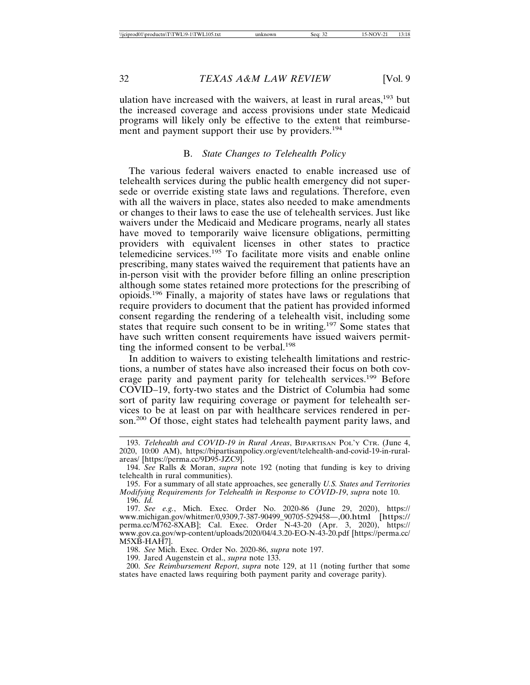ulation have increased with the waivers, at least in rural areas,<sup>193</sup> but the increased coverage and access provisions under state Medicaid programs will likely only be effective to the extent that reimbursement and payment support their use by providers.<sup>194</sup>

#### B. *State Changes to Telehealth Policy*

The various federal waivers enacted to enable increased use of telehealth services during the public health emergency did not supersede or override existing state laws and regulations. Therefore, even with all the waivers in place, states also needed to make amendments or changes to their laws to ease the use of telehealth services. Just like waivers under the Medicaid and Medicare programs, nearly all states have moved to temporarily waive licensure obligations, permitting providers with equivalent licenses in other states to practice telemedicine services.195 To facilitate more visits and enable online prescribing, many states waived the requirement that patients have an in-person visit with the provider before filling an online prescription although some states retained more protections for the prescribing of opioids.196 Finally, a majority of states have laws or regulations that require providers to document that the patient has provided informed consent regarding the rendering of a telehealth visit, including some states that require such consent to be in writing.<sup>197</sup> Some states that have such written consent requirements have issued waivers permitting the informed consent to be verbal.<sup>198</sup>

In addition to waivers to existing telehealth limitations and restrictions, a number of states have also increased their focus on both coverage parity and payment parity for telehealth services.<sup>199</sup> Before COVID–19, forty-two states and the District of Columbia had some sort of parity law requiring coverage or payment for telehealth services to be at least on par with healthcare services rendered in person.<sup>200</sup> Of those, eight states had telehealth payment parity laws, and

195. For a summary of all state approaches, see generally *U.S. States and Territories Modifying Requirements for Telehealth in Response to COVID-19*, *supra* note 10. 196. *Id.*

197. *See e.g.*, Mich. Exec. Order No. 2020-86 (June 29, 2020), https:// www.michigan.gov/whitmer/0,9309,7-387-90499\_90705-529458—,00.html [https:// perma.cc/M762-8XAB]; Cal. Exec. Order N-43-20 (Apr. 3, 2020), https:// www.gov.ca.gov/wp-content/uploads/2020/04/4.3.20-EO-N-43-20.pdf [https://perma.cc/ M5XB-HAH7].

198. *See* Mich. Exec. Order No. 2020-86, *supra* note 197.

199. Jared Augenstein et al., *supra* note 133.

200. *See Reimbursement Report*, *supra* note 129, at 11 (noting further that some states have enacted laws requiring both payment parity and coverage parity).

<sup>193.</sup> *Telehealth and COVID-19 in Rural Areas*, BIPARTISAN POL'Y CTR. (June 4, 2020, 10:00 AM), https://bipartisanpolicy.org/event/telehealth-and-covid-19-in-ruralareas/ [https://perma.cc/9D95-JZC9].

<sup>194.</sup> *See* Ralls & Moran, *supra* note 192 (noting that funding is key to driving telehealth in rural communities).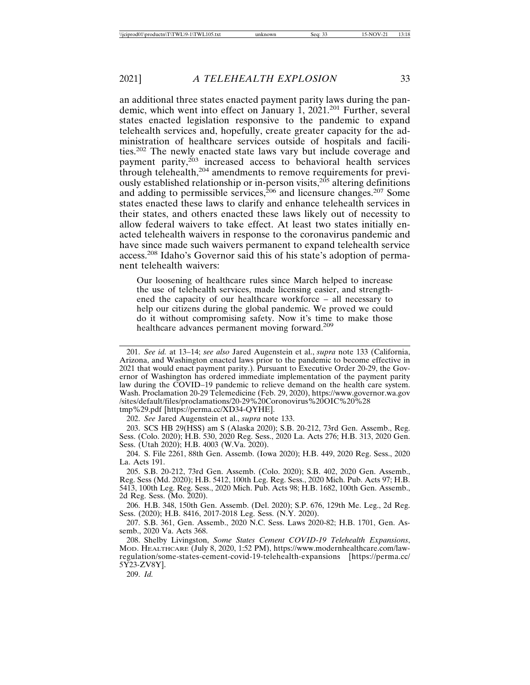an additional three states enacted payment parity laws during the pandemic, which went into effect on January 1, 2021.<sup>201</sup> Further, several states enacted legislation responsive to the pandemic to expand telehealth services and, hopefully, create greater capacity for the administration of healthcare services outside of hospitals and facilities.202 The newly enacted state laws vary but include coverage and payment parity,<sup>203</sup> increased access to behavioral health services through telehealth,204 amendments to remove requirements for previously established relationship or in-person visits,<sup>205</sup> altering definitions and adding to permissible services,<sup>206</sup> and licensure changes.<sup>207</sup> Some states enacted these laws to clarify and enhance telehealth services in their states, and others enacted these laws likely out of necessity to allow federal waivers to take effect. At least two states initially enacted telehealth waivers in response to the coronavirus pandemic and have since made such waivers permanent to expand telehealth service access.208 Idaho's Governor said this of his state's adoption of permanent telehealth waivers:

Our loosening of healthcare rules since March helped to increase the use of telehealth services, made licensing easier, and strengthened the capacity of our healthcare workforce – all necessary to help our citizens during the global pandemic. We proved we could do it without compromising safety. Now it's time to make those healthcare advances permanent moving forward.209

201. *See id.* at 13–14; *see also* Jared Augenstein et al., *supra* note 133 (California, Arizona, and Washington enacted laws prior to the pandemic to become effective in 2021 that would enact payment parity.). Pursuant to Executive Order 20-29, the Governor of Washington has ordered immediate implementation of the payment parity law during the COVID–19 pandemic to relieve demand on the health care system. Wash. Proclamation 20-29 Telemedicine (Feb. 29, 2020), https://www.governor.wa.gov /sites/default/files/proclamations/20-29%20Coronovirus%20OIC%20%28 tmp%29.pdf [https://perma.cc/XD34-QYHE].

202. *See* Jared Augenstein et al., *supra* note 133.

203. SCS HB 29(HSS) am S (Alaska 2020); S.B. 20-212, 73rd Gen. Assemb., Reg. Sess. (Colo. 2020); H.B. 530, 2020 Reg. Sess., 2020 La. Acts 276; H.B. 313, 2020 Gen. Sess. (Utah 2020); H.B. 4003 (W.Va. 2020).

204. S. File 2261, 88th Gen. Assemb. (Iowa 2020); H.B. 449, 2020 Reg. Sess., 2020 La. Acts 191.

205. S.B. 20-212, 73rd Gen. Assemb. (Colo. 2020); S.B. 402, 2020 Gen. Assemb., Reg. Sess (Md. 2020); H.B. 5412, 100th Leg. Reg. Sess., 2020 Mich. Pub. Acts 97; H.B. 5413, 100th Leg. Reg. Sess., 2020 Mich. Pub. Acts 98; H.B. 1682, 100th Gen. Assemb., 2d Reg. Sess. (Mo. 2020).

206. H.B. 348, 150th Gen. Assemb. (Del. 2020); S.P. 676, 129th Me. Leg., 2d Reg. Sess. (2020); H.B. 8416, 2017-2018 Leg. Sess. (N.Y. 2020).

207. S.B. 361, Gen. Assemb., 2020 N.C. Sess. Laws 2020-82; H.B. 1701, Gen. Assemb., 2020 Va. Acts 368.

208. Shelby Livingston, *Some States Cement COVID-19 Telehealth Expansions*, MOD. HEALTHCARE (July 8, 2020, 1:52 PM), https://www.modernhealthcare.com/lawregulation/some-states-cement-covid-19-telehealth-expansions [https://perma.cc/ 5Y23-ZV8Y].

209. *Id.*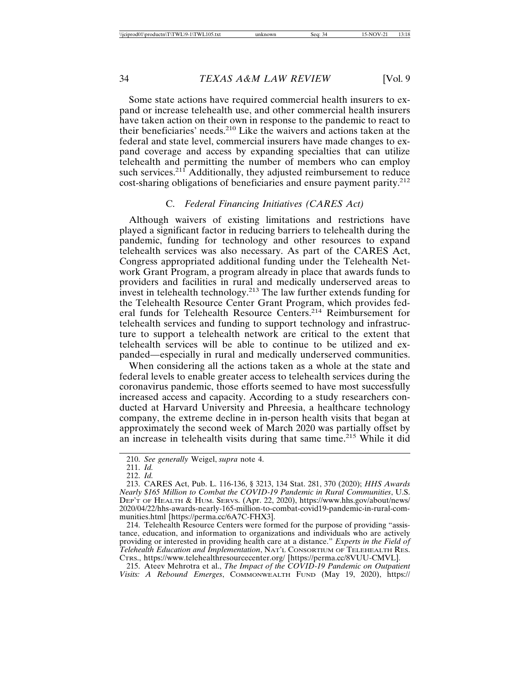Some state actions have required commercial health insurers to expand or increase telehealth use, and other commercial health insurers have taken action on their own in response to the pandemic to react to their beneficiaries' needs.210 Like the waivers and actions taken at the federal and state level, commercial insurers have made changes to expand coverage and access by expanding specialties that can utilize telehealth and permitting the number of members who can employ such services.<sup>211</sup> Additionally, they adjusted reimbursement to reduce cost-sharing obligations of beneficiaries and ensure payment parity.<sup>212</sup>

#### C. *Federal Financing Initiatives (CARES Act)*

Although waivers of existing limitations and restrictions have played a significant factor in reducing barriers to telehealth during the pandemic, funding for technology and other resources to expand telehealth services was also necessary. As part of the CARES Act, Congress appropriated additional funding under the Telehealth Network Grant Program, a program already in place that awards funds to providers and facilities in rural and medically underserved areas to invest in telehealth technology.213 The law further extends funding for the Telehealth Resource Center Grant Program, which provides federal funds for Telehealth Resource Centers.214 Reimbursement for telehealth services and funding to support technology and infrastructure to support a telehealth network are critical to the extent that telehealth services will be able to continue to be utilized and expanded—especially in rural and medically underserved communities.

When considering all the actions taken as a whole at the state and federal levels to enable greater access to telehealth services during the coronavirus pandemic, those efforts seemed to have most successfully increased access and capacity. According to a study researchers conducted at Harvard University and Phreesia, a healthcare technology company, the extreme decline in in-person health visits that began at approximately the second week of March 2020 was partially offset by an increase in telehealth visits during that same time.215 While it did

214. Telehealth Resource Centers were formed for the purpose of providing "assistance, education, and information to organizations and individuals who are actively providing or interested in providing health care at a distance." *Experts in the Field of Telehealth Education and Implementation*, NAT'L CONSORTIUM OF TELEHEALTH RES. CTRS., https://www.telehealthresourcecenter.org/ [https://perma.cc/8VUU-CMVL].

<sup>210.</sup> *See generally* Weigel, *supra* note 4.

<sup>211.</sup> *Id.*

<sup>212.</sup> *Id.*

<sup>213.</sup> CARES Act, Pub. L. 116-136, § 3213, 134 Stat. 281, 370 (2020); *HHS Awards Nearly \$165 Million to Combat the COVID-19 Pandemic in Rural Communities*, U.S. DEP'T OF HEALTH & HUM. SERVS. (Apr. 22, 2020), https://www.hhs.gov/about/news/ 2020/04/22/hhs-awards-nearly-165-million-to-combat-covid19-pandemic-in-rural-communities.html [https://perma.cc/6A7C-FHX3].

<sup>215.</sup> Ateev Mehrotra et al., *The Impact of the COVID-19 Pandemic on Outpatient Visits: A Rebound Emerges*, COMMONWEALTH FUND (May 19, 2020), https://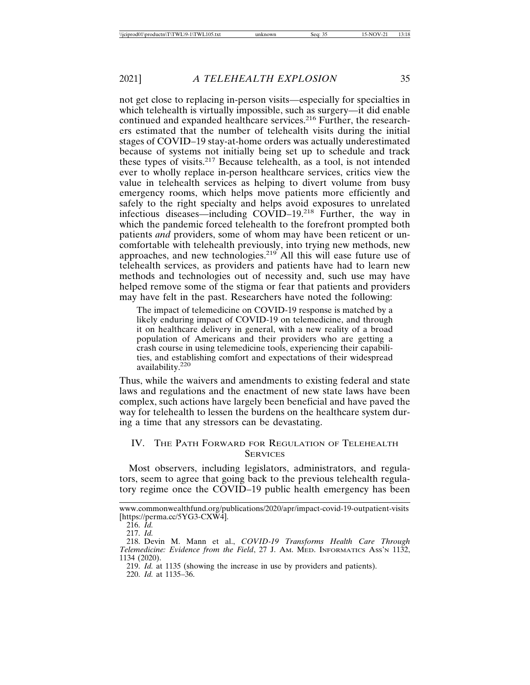not get close to replacing in-person visits—especially for specialties in which telehealth is virtually impossible, such as surgery—it did enable continued and expanded healthcare services.<sup>216</sup> Further, the researchers estimated that the number of telehealth visits during the initial stages of COVID–19 stay-at-home orders was actually underestimated because of systems not initially being set up to schedule and track these types of visits.217 Because telehealth, as a tool, is not intended ever to wholly replace in-person healthcare services, critics view the value in telehealth services as helping to divert volume from busy emergency rooms, which helps move patients more efficiently and safely to the right specialty and helps avoid exposures to unrelated infectious diseases—including COVID–19.218 Further, the way in which the pandemic forced telehealth to the forefront prompted both patients *and* providers, some of whom may have been reticent or uncomfortable with telehealth previously, into trying new methods, new approaches, and new technologies.219 All this will ease future use of telehealth services, as providers and patients have had to learn new methods and technologies out of necessity and, such use may have helped remove some of the stigma or fear that patients and providers may have felt in the past. Researchers have noted the following:

The impact of telemedicine on COVID-19 response is matched by a likely enduring impact of COVID-19 on telemedicine, and through it on healthcare delivery in general, with a new reality of a broad population of Americans and their providers who are getting a crash course in using telemedicine tools, experiencing their capabilities, and establishing comfort and expectations of their widespread availability.<sup>220</sup>

Thus, while the waivers and amendments to existing federal and state laws and regulations and the enactment of new state laws have been complex, such actions have largely been beneficial and have paved the way for telehealth to lessen the burdens on the healthcare system during a time that any stressors can be devastating.

#### IV. THE PATH FORWARD FOR REGULATION OF TELEHEALTH **SERVICES**

Most observers, including legislators, administrators, and regulators, seem to agree that going back to the previous telehealth regulatory regime once the COVID–19 public health emergency has been

www.commonwealthfund.org/publications/2020/apr/impact-covid-19-outpatient-visits [https://perma.cc/5YG3-CXW4].

<sup>216.</sup> *Id.*

<sup>217.</sup> *Id.*

<sup>218.</sup> Devin M. Mann et al., *COVID-19 Transforms Health Care Through Telemedicine: Evidence from the Field*, 27 J. AM. MED. INFORMATICS ASS'N 1132, 1134 (2020).

<sup>219.</sup> *Id.* at 1135 (showing the increase in use by providers and patients).

<sup>220.</sup> *Id.* at 1135–36.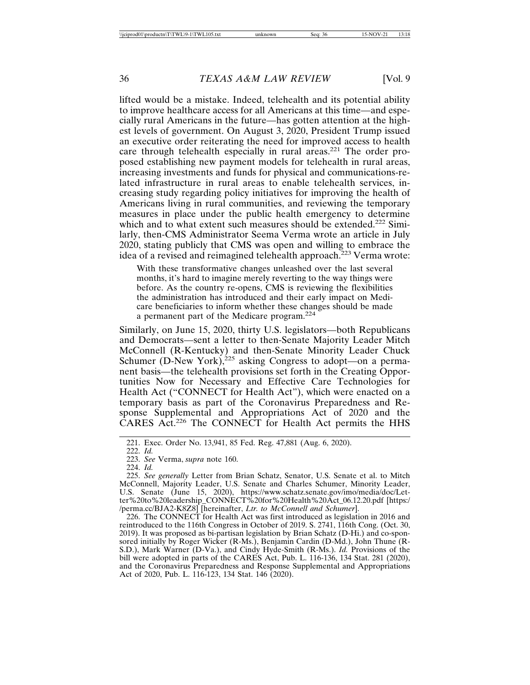lifted would be a mistake. Indeed, telehealth and its potential ability to improve healthcare access for all Americans at this time—and especially rural Americans in the future—has gotten attention at the highest levels of government. On August 3, 2020, President Trump issued an executive order reiterating the need for improved access to health care through telehealth especially in rural areas.221 The order proposed establishing new payment models for telehealth in rural areas, increasing investments and funds for physical and communications-related infrastructure in rural areas to enable telehealth services, increasing study regarding policy initiatives for improving the health of Americans living in rural communities, and reviewing the temporary measures in place under the public health emergency to determine which and to what extent such measures should be extended.<sup>222</sup> Similarly, then-CMS Administrator Seema Verma wrote an article in July 2020, stating publicly that CMS was open and willing to embrace the idea of a revised and reimagined telehealth approach.<sup>223</sup> Verma wrote:

With these transformative changes unleashed over the last several months, it's hard to imagine merely reverting to the way things were before. As the country re-opens, CMS is reviewing the flexibilities the administration has introduced and their early impact on Medicare beneficiaries to inform whether these changes should be made a permanent part of the Medicare program.224

Similarly, on June 15, 2020, thirty U.S. legislators—both Republicans and Democrats—sent a letter to then-Senate Majority Leader Mitch McConnell (R-Kentucky) and then-Senate Minority Leader Chuck Schumer (D-New York), $225$  asking Congress to adopt—on a permanent basis—the telehealth provisions set forth in the Creating Opportunities Now for Necessary and Effective Care Technologies for Health Act ("CONNECT for Health Act"), which were enacted on a temporary basis as part of the Coronavirus Preparedness and Response Supplemental and Appropriations Act of 2020 and the CARES Act.226 The CONNECT for Health Act permits the HHS

223. *See* Verma, *supra* note 160.

225. *See generally* Letter from Brian Schatz, Senator, U.S. Senate et al. to Mitch McConnell, Majority Leader, U.S. Senate and Charles Schumer, Minority Leader, U.S. Senate (June 15, 2020), https://www.schatz.senate.gov/imo/media/doc/Letter%20to%20leadership\_CONNECT%20for%20Health%20Act\_06.12.20.pdf [https:/ /perma.cc/BJA2-K8Z8] [hereinafter, *Ltr. to McConnell and Schumer*].

226. The CONNECT for Health Act was first introduced as legislation in 2016 and reintroduced to the 116th Congress in October of 2019. S. 2741, 116th Cong. (Oct. 30, 2019). It was proposed as bi-partisan legislation by Brian Schatz (D-Hi.) and co-sponsored initially by Roger Wicker (R-Ms.), Benjamin Cardin (D-Md.), John Thune (R-S.D.), Mark Warner (D-Va.), and Cindy Hyde-Smith (R-Ms.). *Id.* Provisions of the bill were adopted in parts of the CARES Act, Pub. L. 116-136, 134 Stat. 281 (2020), and the Coronavirus Preparedness and Response Supplemental and Appropriations Act of 2020, Pub. L. 116-123, 134 Stat. 146 (2020).

<sup>221.</sup> Exec. Order No. 13,941, 85 Fed. Reg. 47,881 (Aug. 6, 2020).

<sup>222.</sup> *Id.*

<sup>224.</sup> *Id.*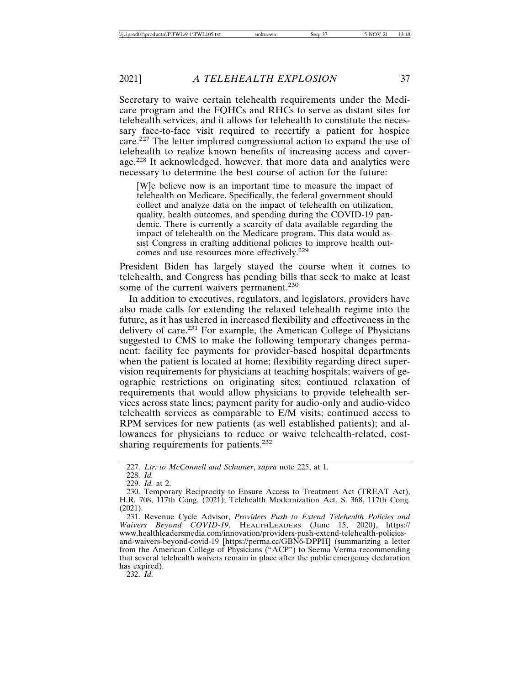Secretary to waive certain telehealth requirements under the Medicare program and the FQHCs and RHCs to serve as distant sites for telehealth services, and it allows for telehealth to constitute the necessary face-to-face visit required to recertify a patient for hospice care.227 The letter implored congressional action to expand the use of telehealth to realize known benefits of increasing access and coverage.228 It acknowledged, however, that more data and analytics were necessary to determine the best course of action for the future:

[W]e believe now is an important time to measure the impact of telehealth on Medicare. Specifically, the federal government should collect and analyze data on the impact of telehealth on utilization, quality, health outcomes, and spending during the COVID-19 pandemic. There is currently a scarcity of data available regarding the impact of telehealth on the Medicare program. This data would assist Congress in crafting additional policies to improve health outcomes and use resources more effectively.<sup>229</sup>

President Biden has largely stayed the course when it comes to telehealth, and Congress has pending bills that seek to make at least some of the current waivers permanent.<sup>230</sup>

In addition to executives, regulators, and legislators, providers have also made calls for extending the relaxed telehealth regime into the future, as it has ushered in increased flexibility and effectiveness in the delivery of care.231 For example, the American College of Physicians suggested to CMS to make the following temporary changes permanent: facility fee payments for provider-based hospital departments when the patient is located at home; flexibility regarding direct supervision requirements for physicians at teaching hospitals; waivers of geographic restrictions on originating sites; continued relaxation of requirements that would allow physicians to provide telehealth services across state lines; payment parity for audio-only and audio-video telehealth services as comparable to E/M visits; continued access to RPM services for new patients (as well established patients); and allowances for physicians to reduce or waive telehealth-related, costsharing requirements for patients.<sup>232</sup>

232. *Id.*

<sup>227.</sup> *Ltr. to McConnell and Schumer*, *supra* note 225, at 1.

<sup>228.</sup> *Id.*

<sup>229.</sup> *Id.* at 2.

<sup>230.</sup> Temporary Reciprocity to Ensure Access to Treatment Act (TREAT Act), H.R. 708, 117th Cong. (2021); Telehealth Modernization Act, S. 368, 117th Cong. (2021).

<sup>231.</sup> Revenue Cycle Advisor, *Providers Push to Extend Telehealth Policies and Waivers Beyond COVID-19*, HEALTHLEADERS (June 15, 2020), https:// www.healthleadersmedia.com/innovation/providers-push-extend-telehealth-policiesand-waivers-beyond-covid-19 [https://perma.cc/GBN6-DPPH] (summarizing a letter from the American College of Physicians ("ACP") to Seema Verma recommending that several telehealth waivers remain in place after the public emergency declaration has expired).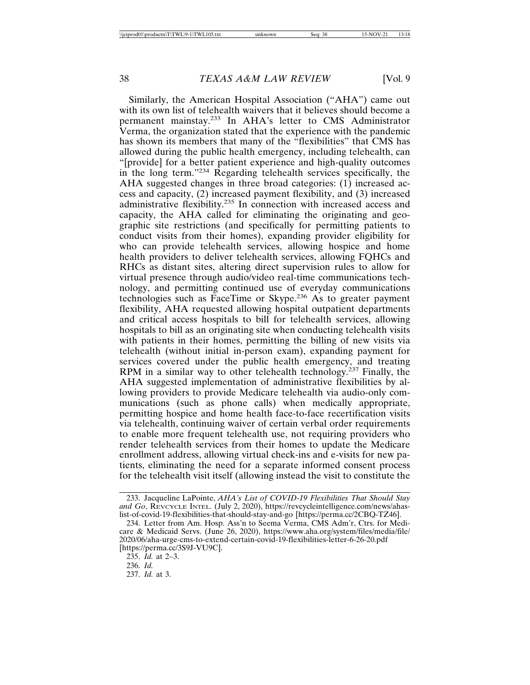Similarly, the American Hospital Association ("AHA") came out with its own list of telehealth waivers that it believes should become a permanent mainstay.233 In AHA's letter to CMS Administrator Verma, the organization stated that the experience with the pandemic has shown its members that many of the "flexibilities" that CMS has allowed during the public health emergency, including telehealth, can "[provide] for a better patient experience and high-quality outcomes in the long term."234 Regarding telehealth services specifically, the AHA suggested changes in three broad categories: (1) increased access and capacity, (2) increased payment flexibility, and (3) increased administrative flexibility.235 In connection with increased access and capacity, the AHA called for eliminating the originating and geographic site restrictions (and specifically for permitting patients to conduct visits from their homes), expanding provider eligibility for who can provide telehealth services, allowing hospice and home health providers to deliver telehealth services, allowing FQHCs and RHCs as distant sites, altering direct supervision rules to allow for virtual presence through audio/video real-time communications technology, and permitting continued use of everyday communications technologies such as FaceTime or Skype.236 As to greater payment flexibility, AHA requested allowing hospital outpatient departments and critical access hospitals to bill for telehealth services, allowing hospitals to bill as an originating site when conducting telehealth visits with patients in their homes, permitting the billing of new visits via telehealth (without initial in-person exam), expanding payment for services covered under the public health emergency, and treating RPM in a similar way to other telehealth technology.<sup>237</sup> Finally, the AHA suggested implementation of administrative flexibilities by allowing providers to provide Medicare telehealth via audio-only communications (such as phone calls) when medically appropriate, permitting hospice and home health face-to-face recertification visits via telehealth, continuing waiver of certain verbal order requirements to enable more frequent telehealth use, not requiring providers who render telehealth services from their homes to update the Medicare enrollment address, allowing virtual check-ins and e-visits for new patients, eliminating the need for a separate informed consent process for the telehealth visit itself (allowing instead the visit to constitute the

<sup>233.</sup> Jacqueline LaPointe, *AHA's List of COVID-19 Flexibilities That Should Stay and Go*, REVCYCLE INTEL. (July 2, 2020), https://revcycleintelligence.com/news/ahaslist-of-covid-19-flexibilities-that-should-stay-and-go [https://perma.cc/2CBQ-TZ46].

<sup>234.</sup> Letter from Am. Hosp. Ass'n to Seema Verma, CMS Adm'r, Ctrs. for Medicare & Medicaid Servs. (June 26, 2020), https://www.aha.org/system/files/media/file/ 2020/06/aha-urge-cms-to-extend-certain-covid-19-flexibilities-letter-6-26-20.pdf [https://perma.cc/3S9J-VU9C].

<sup>235.</sup> *Id.* at 2–3.

<sup>236.</sup> *Id.*

<sup>237.</sup> *Id.* at 3.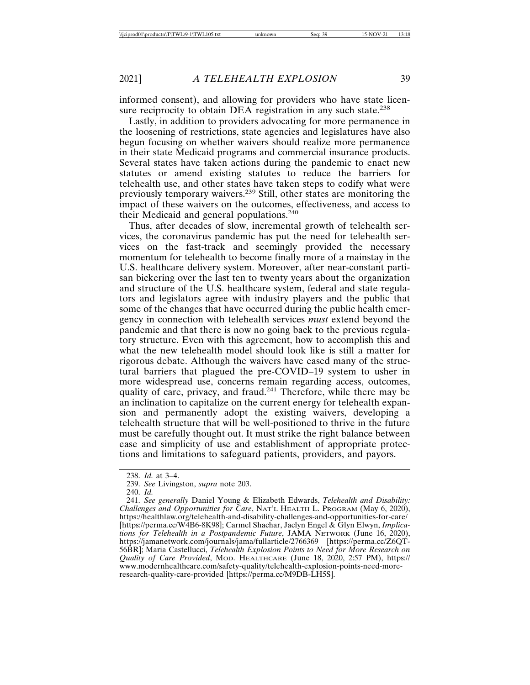informed consent), and allowing for providers who have state licensure reciprocity to obtain DEA registration in any such state.<sup>238</sup>

Lastly, in addition to providers advocating for more permanence in the loosening of restrictions, state agencies and legislatures have also begun focusing on whether waivers should realize more permanence in their state Medicaid programs and commercial insurance products. Several states have taken actions during the pandemic to enact new statutes or amend existing statutes to reduce the barriers for telehealth use, and other states have taken steps to codify what were previously temporary waivers.239 Still, other states are monitoring the impact of these waivers on the outcomes, effectiveness, and access to their Medicaid and general populations.<sup>240</sup>

Thus, after decades of slow, incremental growth of telehealth services, the coronavirus pandemic has put the need for telehealth services on the fast-track and seemingly provided the necessary momentum for telehealth to become finally more of a mainstay in the U.S. healthcare delivery system. Moreover, after near-constant partisan bickering over the last ten to twenty years about the organization and structure of the U.S. healthcare system, federal and state regulators and legislators agree with industry players and the public that some of the changes that have occurred during the public health emergency in connection with telehealth services *must* extend beyond the pandemic and that there is now no going back to the previous regulatory structure. Even with this agreement, how to accomplish this and what the new telehealth model should look like is still a matter for rigorous debate. Although the waivers have eased many of the structural barriers that plagued the pre-COVID–19 system to usher in more widespread use, concerns remain regarding access, outcomes, quality of care, privacy, and fraud.<sup>241</sup> Therefore, while there may be an inclination to capitalize on the current energy for telehealth expansion and permanently adopt the existing waivers, developing a telehealth structure that will be well-positioned to thrive in the future must be carefully thought out. It must strike the right balance between ease and simplicity of use and establishment of appropriate protections and limitations to safeguard patients, providers, and payors.

<sup>238.</sup> *Id.* at 3–4.

<sup>239.</sup> *See* Livingston, *supra* note 203.

<sup>240.</sup> *Id.*

<sup>241.</sup> *See generally* Daniel Young & Elizabeth Edwards, *Telehealth and Disability: Challenges and Opportunities for Care*, NAT'L HEALTH L. PROGRAM (May 6, 2020), https://healthlaw.org/telehealth-and-disability-challenges-and-opportunities-for-care/ [https://perma.cc/W4B6-8K98]; Carmel Shachar, Jaclyn Engel & Glyn Elwyn, *Implications for Telehealth in a Postpandemic Future*, JAMA NETWORK (June 16, 2020), https://jamanetwork.com/journals/jama/fullarticle/2766369 [https://perma.cc/Z6QT-56BR]; Maria Castellucci, *Telehealth Explosion Points to Need for More Research on Quality of Care Provided*, MOD. HEALTHCARE (June 18, 2020, 2:57 PM), https:// www.modernhealthcare.com/safety-quality/telehealth-explosion-points-need-moreresearch-quality-care-provided [https://perma.cc/M9DB-LH5S].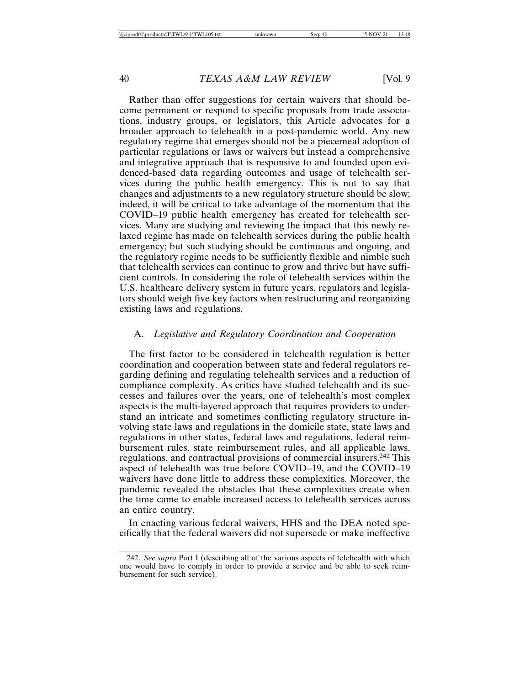Rather than offer suggestions for certain waivers that should become permanent or respond to specific proposals from trade associations, industry groups, or legislators, this Article advocates for a broader approach to telehealth in a post-pandemic world. Any new regulatory regime that emerges should not be a piecemeal adoption of particular regulations or laws or waivers but instead a comprehensive and integrative approach that is responsive to and founded upon evidenced-based data regarding outcomes and usage of telehealth services during the public health emergency. This is not to say that changes and adjustments to a new regulatory structure should be slow; indeed, it will be critical to take advantage of the momentum that the COVID–19 public health emergency has created for telehealth services. Many are studying and reviewing the impact that this newly relaxed regime has made on telehealth services during the public health emergency; but such studying should be continuous and ongoing, and the regulatory regime needs to be sufficiently flexible and nimble such that telehealth services can continue to grow and thrive but have sufficient controls. In considering the role of telehealth services within the U.S. healthcare delivery system in future years, regulators and legislators should weigh five key factors when restructuring and reorganizing existing laws and regulations.

#### A. *Legislative and Regulatory Coordination and Cooperation*

The first factor to be considered in telehealth regulation is better coordination and cooperation between state and federal regulators regarding defining and regulating telehealth services and a reduction of compliance complexity. As critics have studied telehealth and its successes and failures over the years, one of telehealth's most complex aspects is the multi-layered approach that requires providers to understand an intricate and sometimes conflicting regulatory structure involving state laws and regulations in the domicile state, state laws and regulations in other states, federal laws and regulations, federal reimbursement rules, state reimbursement rules, and all applicable laws, regulations, and contractual provisions of commercial insurers.<sup>242</sup> This aspect of telehealth was true before COVID–19, and the COVID–19 waivers have done little to address these complexities. Moreover, the pandemic revealed the obstacles that these complexities create when the time came to enable increased access to telehealth services across an entire country.

In enacting various federal waivers, HHS and the DEA noted specifically that the federal waivers did not supersede or make ineffective

<sup>242.</sup> *See supra* Part I (describing all of the various aspects of telehealth with which one would have to comply in order to provide a service and be able to seek reimbursement for such service).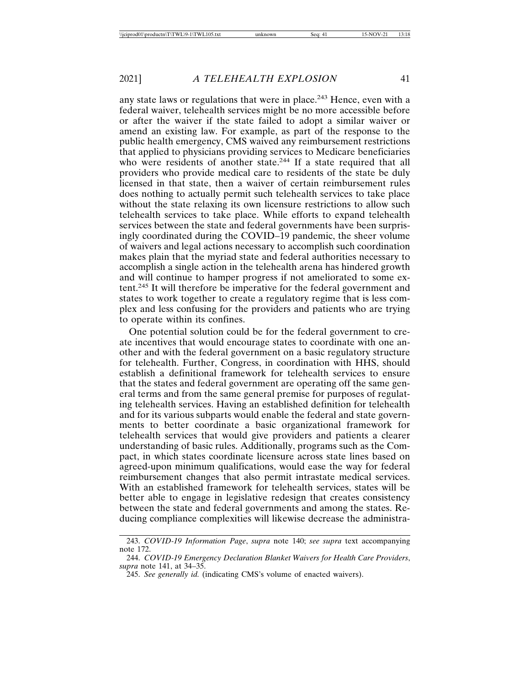any state laws or regulations that were in place.<sup>243</sup> Hence, even with a federal waiver, telehealth services might be no more accessible before or after the waiver if the state failed to adopt a similar waiver or amend an existing law. For example, as part of the response to the public health emergency, CMS waived any reimbursement restrictions that applied to physicians providing services to Medicare beneficiaries who were residents of another state.<sup>244</sup> If a state required that all providers who provide medical care to residents of the state be duly licensed in that state, then a waiver of certain reimbursement rules does nothing to actually permit such telehealth services to take place without the state relaxing its own licensure restrictions to allow such telehealth services to take place. While efforts to expand telehealth services between the state and federal governments have been surprisingly coordinated during the COVID–19 pandemic, the sheer volume of waivers and legal actions necessary to accomplish such coordination makes plain that the myriad state and federal authorities necessary to accomplish a single action in the telehealth arena has hindered growth and will continue to hamper progress if not ameliorated to some extent.245 It will therefore be imperative for the federal government and states to work together to create a regulatory regime that is less complex and less confusing for the providers and patients who are trying to operate within its confines.

One potential solution could be for the federal government to create incentives that would encourage states to coordinate with one another and with the federal government on a basic regulatory structure for telehealth. Further, Congress, in coordination with HHS, should establish a definitional framework for telehealth services to ensure that the states and federal government are operating off the same general terms and from the same general premise for purposes of regulating telehealth services. Having an established definition for telehealth and for its various subparts would enable the federal and state governments to better coordinate a basic organizational framework for telehealth services that would give providers and patients a clearer understanding of basic rules. Additionally, programs such as the Compact, in which states coordinate licensure across state lines based on agreed-upon minimum qualifications, would ease the way for federal reimbursement changes that also permit intrastate medical services. With an established framework for telehealth services, states will be better able to engage in legislative redesign that creates consistency between the state and federal governments and among the states. Reducing compliance complexities will likewise decrease the administra-

<sup>243.</sup> *COVID-19 Information Page*, *supra* note 140; *see supra* text accompanying note 172.

<sup>244.</sup> *COVID-19 Emergency Declaration Blanket Waivers for Health Care Providers*, *supra* note 141, at 34–35.

<sup>245.</sup> *See generally id.* (indicating CMS's volume of enacted waivers).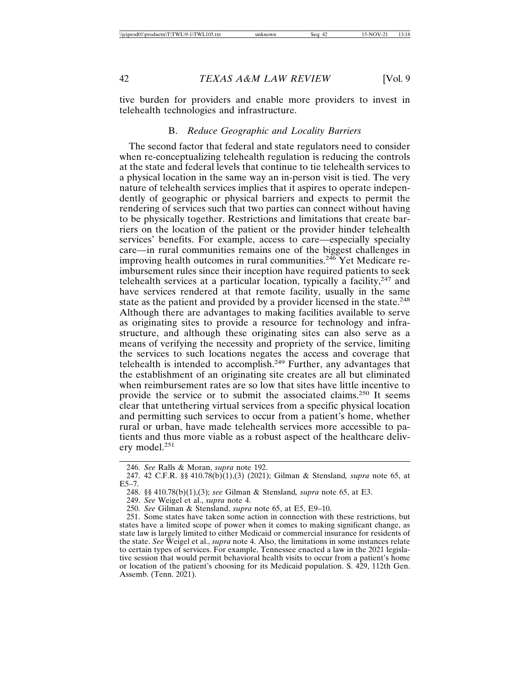tive burden for providers and enable more providers to invest in telehealth technologies and infrastructure.

#### B. *Reduce Geographic and Locality Barriers*

The second factor that federal and state regulators need to consider when re-conceptualizing telehealth regulation is reducing the controls at the state and federal levels that continue to tie telehealth services to a physical location in the same way an in-person visit is tied. The very nature of telehealth services implies that it aspires to operate independently of geographic or physical barriers and expects to permit the rendering of services such that two parties can connect without having to be physically together. Restrictions and limitations that create barriers on the location of the patient or the provider hinder telehealth services' benefits. For example, access to care—especially specialty care—in rural communities remains one of the biggest challenges in improving health outcomes in rural communities.<sup>246</sup> Yet Medicare reimbursement rules since their inception have required patients to seek telehealth services at a particular location, typically a facility,  $247$  and have services rendered at that remote facility, usually in the same state as the patient and provided by a provider licensed in the state.<sup>248</sup> Although there are advantages to making facilities available to serve as originating sites to provide a resource for technology and infrastructure, and although these originating sites can also serve as a means of verifying the necessity and propriety of the service, limiting the services to such locations negates the access and coverage that telehealth is intended to accomplish.249 Further, any advantages that the establishment of an originating site creates are all but eliminated when reimbursement rates are so low that sites have little incentive to provide the service or to submit the associated claims.250 It seems clear that untethering virtual services from a specific physical location and permitting such services to occur from a patient's home, whether rural or urban, have made telehealth services more accessible to patients and thus more viable as a robust aspect of the healthcare delivery model.251

<sup>246.</sup> *See* Ralls & Moran, *supra* note 192.

<sup>247. 42</sup> C.F.R. §§ 410.78(b)(1),(3) (2021); Gilman & Stensland*, supra* note 65, at E5–7.

<sup>248. §§ 410.78(</sup>b)(1),(3); *see* Gilman & Stensland*, supra* note 65, at E3.

<sup>249.</sup> *See* Weigel et al., *supra* note 4.

<sup>250.</sup> *See* Gilman & Stensland, *supra* note 65, at E5, E9–10.

<sup>251.</sup> Some states have taken some action in connection with these restrictions, but states have a limited scope of power when it comes to making significant change, as state law is largely limited to either Medicaid or commercial insurance for residents of the state. *See* Weigel et al., *supra* note 4. Also, the limitations in some instances relate to certain types of services. For example, Tennessee enacted a law in the 2021 legislative session that would permit behavioral health visits to occur from a patient's home or location of the patient's choosing for its Medicaid population. S. 429, 112th Gen. Assemb. (Tenn. 2021).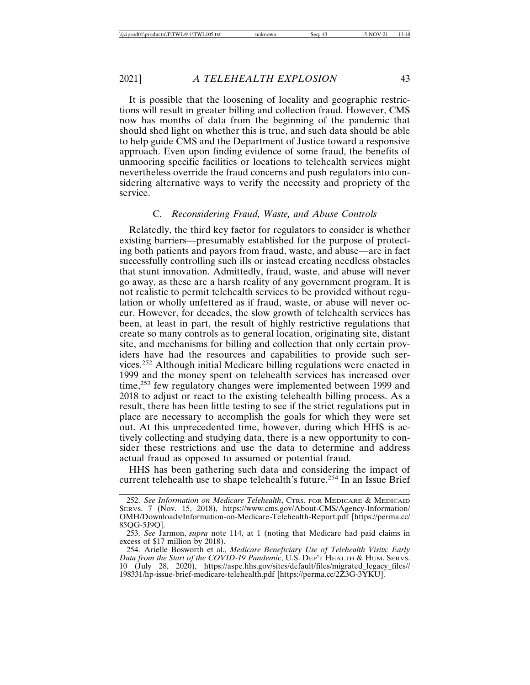It is possible that the loosening of locality and geographic restrictions will result in greater billing and collection fraud. However, CMS now has months of data from the beginning of the pandemic that should shed light on whether this is true, and such data should be able to help guide CMS and the Department of Justice toward a responsive approach. Even upon finding evidence of some fraud, the benefits of unmooring specific facilities or locations to telehealth services might nevertheless override the fraud concerns and push regulators into considering alternative ways to verify the necessity and propriety of the service.

#### C. *Reconsidering Fraud, Waste, and Abuse Controls*

Relatedly, the third key factor for regulators to consider is whether existing barriers—presumably established for the purpose of protecting both patients and payors from fraud, waste, and abuse—are in fact successfully controlling such ills or instead creating needless obstacles that stunt innovation. Admittedly, fraud, waste, and abuse will never go away, as these are a harsh reality of any government program. It is not realistic to permit telehealth services to be provided without regulation or wholly unfettered as if fraud, waste, or abuse will never occur. However, for decades, the slow growth of telehealth services has been, at least in part, the result of highly restrictive regulations that create so many controls as to general location, originating site, distant site, and mechanisms for billing and collection that only certain providers have had the resources and capabilities to provide such services.252 Although initial Medicare billing regulations were enacted in 1999 and the money spent on telehealth services has increased over time,<sup>253</sup> few regulatory changes were implemented between 1999 and 2018 to adjust or react to the existing telehealth billing process. As a result, there has been little testing to see if the strict regulations put in place are necessary to accomplish the goals for which they were set out. At this unprecedented time, however, during which HHS is actively collecting and studying data, there is a new opportunity to consider these restrictions and use the data to determine and address actual fraud as opposed to assumed or potential fraud.

HHS has been gathering such data and considering the impact of current telehealth use to shape telehealth's future.254 In an Issue Brief

<sup>252.</sup> *See Information on Medicare Telehealth*, CTRS. FOR MEDICARE & MEDICAID SERVS. 7 (Nov. 15, 2018), https://www.cms.gov/About-CMS/Agency-Information/ OMH/Downloads/Information-on-Medicare-Telehealth-Report.pdf [https://perma.cc/ 85QG-5J9Q].

<sup>253.</sup> *See* Jarmon, *supra* note 114, at 1 (noting that Medicare had paid claims in excess of \$17 million by 2018).

<sup>254.</sup> Arielle Bosworth et al., *Medicare Beneficiary Use of Telehealth Visits: Early Data from the Start of the COVID-19 Pandemic*, U.S. DEP'T HEALTH & HUM. SERVS. 10 (July 28, 2020), https://aspe.hhs.gov/sites/default/files/migrated\_legacy\_files// 198331/hp-issue-brief-medicare-telehealth.pdf [https://perma.cc/2Z3G-3YKU].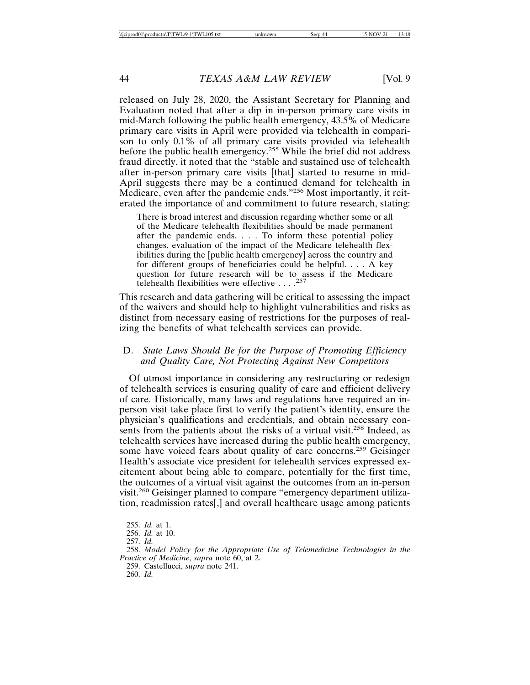released on July 28, 2020, the Assistant Secretary for Planning and Evaluation noted that after a dip in in-person primary care visits in mid-March following the public health emergency, 43.5% of Medicare primary care visits in April were provided via telehealth in comparison to only 0.1% of all primary care visits provided via telehealth before the public health emergency.255 While the brief did not address fraud directly, it noted that the "stable and sustained use of telehealth after in-person primary care visits [that] started to resume in mid-April suggests there may be a continued demand for telehealth in Medicare, even after the pandemic ends."256 Most importantly, it reiterated the importance of and commitment to future research, stating:

There is broad interest and discussion regarding whether some or all of the Medicare telehealth flexibilities should be made permanent after the pandemic ends. . . . To inform these potential policy changes, evaluation of the impact of the Medicare telehealth flexibilities during the [public health emergency] across the country and for different groups of beneficiaries could be helpful. . . . A key question for future research will be to assess if the Medicare telehealth flexibilities were effective  $\ldots$ . <sup>257</sup>

This research and data gathering will be critical to assessing the impact of the waivers and should help to highlight vulnerabilities and risks as distinct from necessary easing of restrictions for the purposes of realizing the benefits of what telehealth services can provide.

## D. *State Laws Should Be for the Purpose of Promoting Efficiency and Quality Care, Not Protecting Against New Competitors*

Of utmost importance in considering any restructuring or redesign of telehealth services is ensuring quality of care and efficient delivery of care. Historically, many laws and regulations have required an inperson visit take place first to verify the patient's identity, ensure the physician's qualifications and credentials, and obtain necessary consents from the patients about the risks of a virtual visit.<sup>258</sup> Indeed, as telehealth services have increased during the public health emergency, some have voiced fears about quality of care concerns.<sup>259</sup> Geisinger Health's associate vice president for telehealth services expressed excitement about being able to compare, potentially for the first time, the outcomes of a virtual visit against the outcomes from an in-person visit.<sup>260</sup> Geisinger planned to compare "emergency department utilization, readmission rates[,] and overall healthcare usage among patients

259. Castellucci, *supra* note 241.

260. *Id.*

<sup>255.</sup> *Id.* at 1.

<sup>256.</sup> *Id.* at 10.

<sup>257.</sup> *Id.*

<sup>258.</sup> *Model Policy for the Appropriate Use of Telemedicine Technologies in the Practice of Medicine*, *supra* note 60, at 2.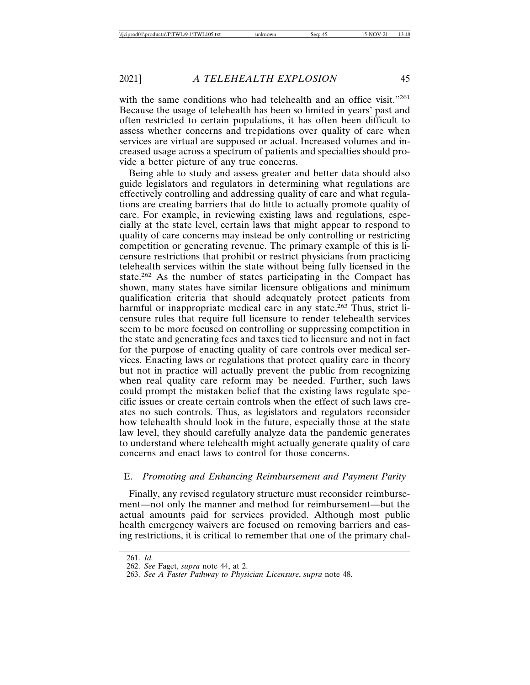with the same conditions who had telehealth and an office visit."261 Because the usage of telehealth has been so limited in years' past and often restricted to certain populations, it has often been difficult to assess whether concerns and trepidations over quality of care when services are virtual are supposed or actual. Increased volumes and increased usage across a spectrum of patients and specialties should provide a better picture of any true concerns.

Being able to study and assess greater and better data should also guide legislators and regulators in determining what regulations are effectively controlling and addressing quality of care and what regulations are creating barriers that do little to actually promote quality of care. For example, in reviewing existing laws and regulations, especially at the state level, certain laws that might appear to respond to quality of care concerns may instead be only controlling or restricting competition or generating revenue. The primary example of this is licensure restrictions that prohibit or restrict physicians from practicing telehealth services within the state without being fully licensed in the state.<sup>262</sup> As the number of states participating in the Compact has shown, many states have similar licensure obligations and minimum qualification criteria that should adequately protect patients from harmful or inappropriate medical care in any state.<sup>263</sup> Thus, strict licensure rules that require full licensure to render telehealth services seem to be more focused on controlling or suppressing competition in the state and generating fees and taxes tied to licensure and not in fact for the purpose of enacting quality of care controls over medical services. Enacting laws or regulations that protect quality care in theory but not in practice will actually prevent the public from recognizing when real quality care reform may be needed. Further, such laws could prompt the mistaken belief that the existing laws regulate specific issues or create certain controls when the effect of such laws creates no such controls. Thus, as legislators and regulators reconsider how telehealth should look in the future, especially those at the state law level, they should carefully analyze data the pandemic generates to understand where telehealth might actually generate quality of care concerns and enact laws to control for those concerns.

## E. *Promoting and Enhancing Reimbursement and Payment Parity*

Finally, any revised regulatory structure must reconsider reimbursement—not only the manner and method for reimbursement—but the actual amounts paid for services provided. Although most public health emergency waivers are focused on removing barriers and easing restrictions, it is critical to remember that one of the primary chal-

<sup>261.</sup> *Id.*

<sup>262.</sup> *See* Faget, *supra* note 44, at 2.

<sup>263.</sup> *See A Faster Pathway to Physician Licensure*, *supra* note 48.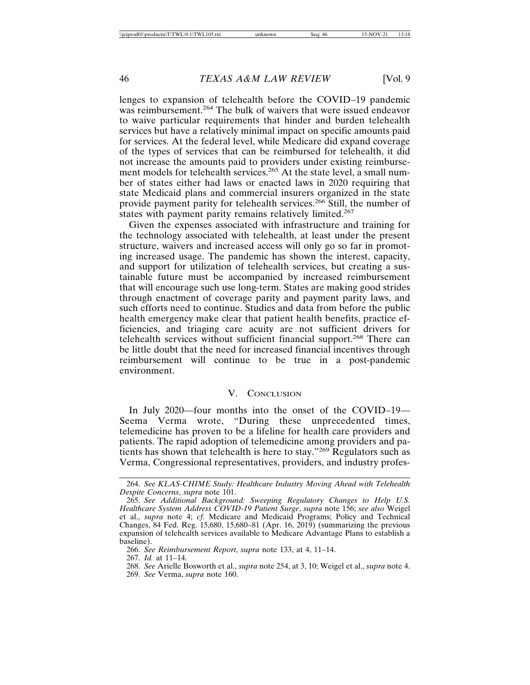lenges to expansion of telehealth before the COVID–19 pandemic was reimbursement.<sup>264</sup> The bulk of waivers that were issued endeavor to waive particular requirements that hinder and burden telehealth services but have a relatively minimal impact on specific amounts paid for services. At the federal level, while Medicare did expand coverage of the types of services that can be reimbursed for telehealth, it did not increase the amounts paid to providers under existing reimbursement models for telehealth services.<sup>265</sup> At the state level, a small number of states either had laws or enacted laws in 2020 requiring that state Medicaid plans and commercial insurers organized in the state provide payment parity for telehealth services.266 Still, the number of states with payment parity remains relatively limited.<sup>267</sup>

Given the expenses associated with infrastructure and training for the technology associated with telehealth, at least under the present structure, waivers and increased access will only go so far in promoting increased usage. The pandemic has shown the interest, capacity, and support for utilization of telehealth services, but creating a sustainable future must be accompanied by increased reimbursement that will encourage such use long-term. States are making good strides through enactment of coverage parity and payment parity laws, and such efforts need to continue. Studies and data from before the public health emergency make clear that patient health benefits, practice efficiencies, and triaging care acuity are not sufficient drivers for telehealth services without sufficient financial support.<sup>268</sup> There can be little doubt that the need for increased financial incentives through reimbursement will continue to be true in a post-pandemic environment.

#### V. CONCLUSION

In July 2020—four months into the onset of the COVID–19— Seema Verma wrote, "During these unprecedented times, telemedicine has proven to be a lifeline for health care providers and patients. The rapid adoption of telemedicine among providers and patients has shown that telehealth is here to stay."269 Regulators such as Verma, Congressional representatives, providers, and industry profes-

267. *Id.* at 11–14.

<sup>264.</sup> *See KLAS-CHIME Study: Healthcare Industry Moving Ahead with Telehealth Despite Concerns*, *supra* note 101.

<sup>265.</sup> *See Additional Background: Sweeping Regulatory Changes to Help U.S. Healthcare System Address COVID-19 Patient Surge*, *supra* note 156; *see also* Weigel et al., *supra* note 4; *cf.* Medicare and Medicaid Programs; Policy and Technical Changes, 84 Fed. Reg. 15,680, 15,680–81 (Apr. 16, 2019) (summarizing the previous expansion of telehealth services available to Medicare Advantage Plans to establish a baseline).

<sup>266.</sup> *See Reimbursement Report*, *supra* note 133, at 4, 11–14.

<sup>268.</sup> *See* Arielle Bosworth et al., *supra* note 254, at 3, 10; Weigel et al., *supra* note 4. 269. *See* Verma, *supra* note 160.